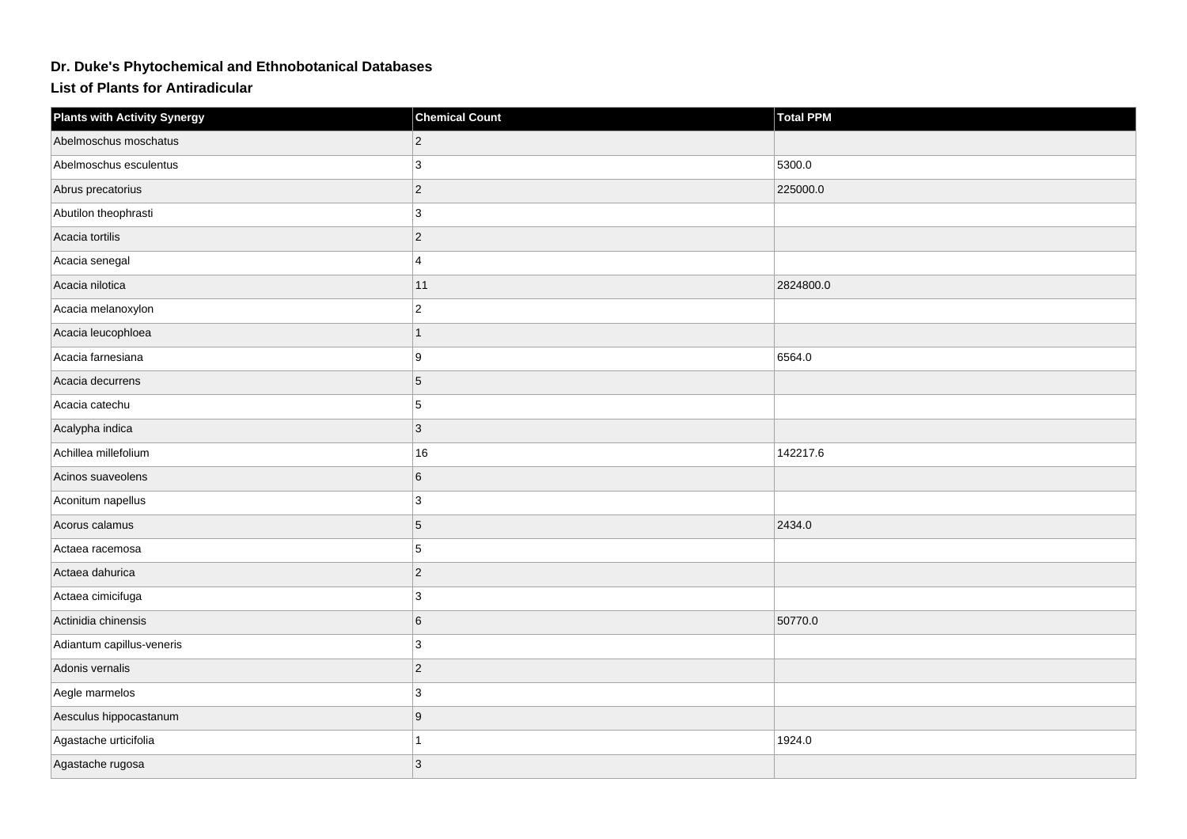## **Dr. Duke's Phytochemical and Ethnobotanical Databases**

**List of Plants for Antiradicular**

| <b>Plants with Activity Synergy</b> | <b>Chemical Count</b> | <b>Total PPM</b> |
|-------------------------------------|-----------------------|------------------|
| Abelmoschus moschatus               | $\overline{2}$        |                  |
| Abelmoschus esculentus              | 3                     | 5300.0           |
| Abrus precatorius                   | $\overline{2}$        | 225000.0         |
| Abutilon theophrasti                | 3                     |                  |
| Acacia tortilis                     | $\overline{c}$        |                  |
| Acacia senegal                      | 4                     |                  |
| Acacia nilotica                     | 11                    | 2824800.0        |
| Acacia melanoxylon                  | $\overline{2}$        |                  |
| Acacia leucophloea                  | 1                     |                  |
| Acacia farnesiana                   | 9                     | 6564.0           |
| Acacia decurrens                    | 5                     |                  |
| Acacia catechu                      | 5                     |                  |
| Acalypha indica                     | 3                     |                  |
| Achillea millefolium                | 16                    | 142217.6         |
| Acinos suaveolens                   | 6                     |                  |
| Aconitum napellus                   | 3                     |                  |
| Acorus calamus                      | 5                     | 2434.0           |
| Actaea racemosa                     | 5                     |                  |
| Actaea dahurica                     | $\overline{c}$        |                  |
| Actaea cimicifuga                   | 3                     |                  |
| Actinidia chinensis                 | 6                     | 50770.0          |
| Adiantum capillus-veneris           | 3                     |                  |
| Adonis vernalis                     | $\overline{2}$        |                  |
| Aegle marmelos                      | 3                     |                  |
| Aesculus hippocastanum              | 9                     |                  |
| Agastache urticifolia               |                       | 1924.0           |
| Agastache rugosa                    | 3                     |                  |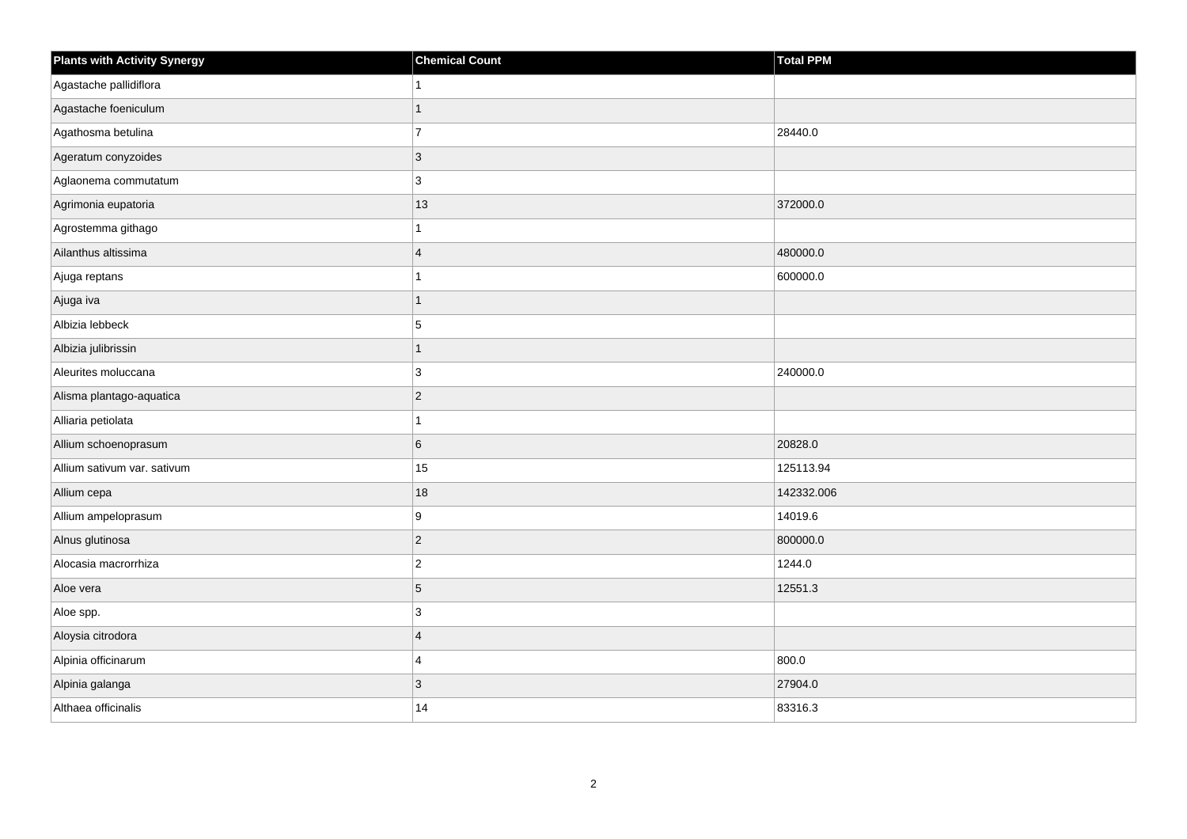| <b>Plants with Activity Synergy</b> | <b>Chemical Count</b> | Total PPM  |
|-------------------------------------|-----------------------|------------|
| Agastache pallidiflora              |                       |            |
| Agastache foeniculum                |                       |            |
| Agathosma betulina                  | $\overline{7}$        | 28440.0    |
| Ageratum conyzoides                 | 3                     |            |
| Aglaonema commutatum                | 3                     |            |
| Agrimonia eupatoria                 | 13                    | 372000.0   |
| Agrostemma githago                  |                       |            |
| Ailanthus altissima                 | $\overline{4}$        | 480000.0   |
| Ajuga reptans                       |                       | 600000.0   |
| Ajuga iva                           | 1                     |            |
| Albizia lebbeck                     | 5                     |            |
| Albizia julibrissin                 | 1                     |            |
| Aleurites moluccana                 | 3                     | 240000.0   |
| Alisma plantago-aquatica            | $\overline{2}$        |            |
| Alliaria petiolata                  |                       |            |
| Allium schoenoprasum                | 6                     | 20828.0    |
| Allium sativum var. sativum         | 15                    | 125113.94  |
| Allium cepa                         | 18                    | 142332.006 |
| Allium ampeloprasum                 | 9                     | 14019.6    |
| Alnus glutinosa                     | $\overline{c}$        | 800000.0   |
| Alocasia macrorrhiza                | $\overline{a}$        | 1244.0     |
| Aloe vera                           | 5                     | 12551.3    |
| Aloe spp.                           | 3                     |            |
| Aloysia citrodora                   | $\overline{4}$        |            |
| Alpinia officinarum                 | 4                     | 800.0      |
| Alpinia galanga                     | 3                     | 27904.0    |
| Althaea officinalis                 | 14                    | 83316.3    |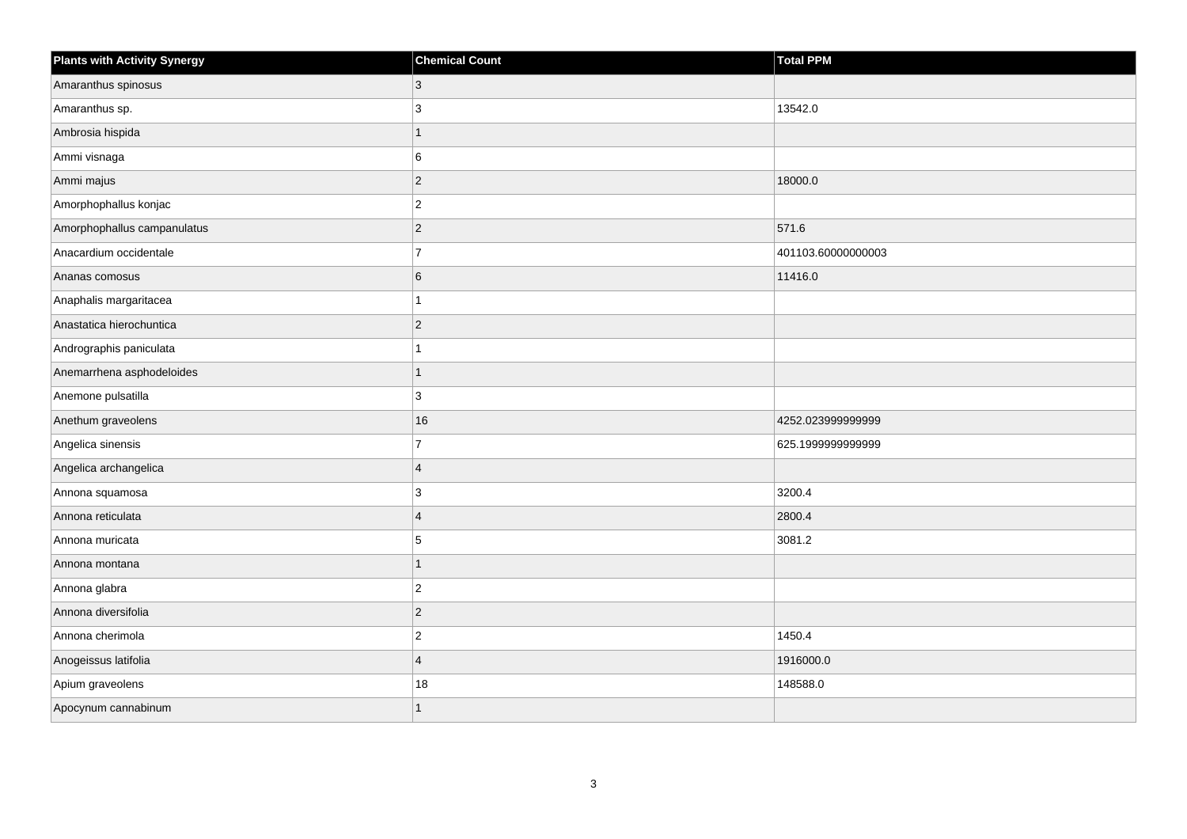| <b>Plants with Activity Synergy</b> | <b>Chemical Count</b> | <b>Total PPM</b>   |
|-------------------------------------|-----------------------|--------------------|
| Amaranthus spinosus                 | 3                     |                    |
| Amaranthus sp.                      | 3                     | 13542.0            |
| Ambrosia hispida                    | 1                     |                    |
| Ammi visnaga                        | 6                     |                    |
| Ammi majus                          | $\overline{2}$        | 18000.0            |
| Amorphophallus konjac               | $\overline{2}$        |                    |
| Amorphophallus campanulatus         | $\overline{2}$        | 571.6              |
| Anacardium occidentale              | $\overline{7}$        | 401103.60000000003 |
| Ananas comosus                      | 6                     | 11416.0            |
| Anaphalis margaritacea              |                       |                    |
| Anastatica hierochuntica            | $\overline{2}$        |                    |
| Andrographis paniculata             |                       |                    |
| Anemarrhena asphodeloides           | 1                     |                    |
| Anemone pulsatilla                  | 3                     |                    |
| Anethum graveolens                  | 16                    | 4252.023999999999  |
| Angelica sinensis                   | $\overline{7}$        | 625.1999999999999  |
| Angelica archangelica               | $\boldsymbol{\Delta}$ |                    |
| Annona squamosa                     | 3                     | 3200.4             |
| Annona reticulata                   | $\overline{4}$        | 2800.4             |
| Annona muricata                     | 5                     | 3081.2             |
| Annona montana                      |                       |                    |
| Annona glabra                       | $\overline{2}$        |                    |
| Annona diversifolia                 | $\overline{2}$        |                    |
| Annona cherimola                    | $\overline{2}$        | 1450.4             |
| Anogeissus latifolia                | $\overline{4}$        | 1916000.0          |
| Apium graveolens                    | 18                    | 148588.0           |
| Apocynum cannabinum                 | 1                     |                    |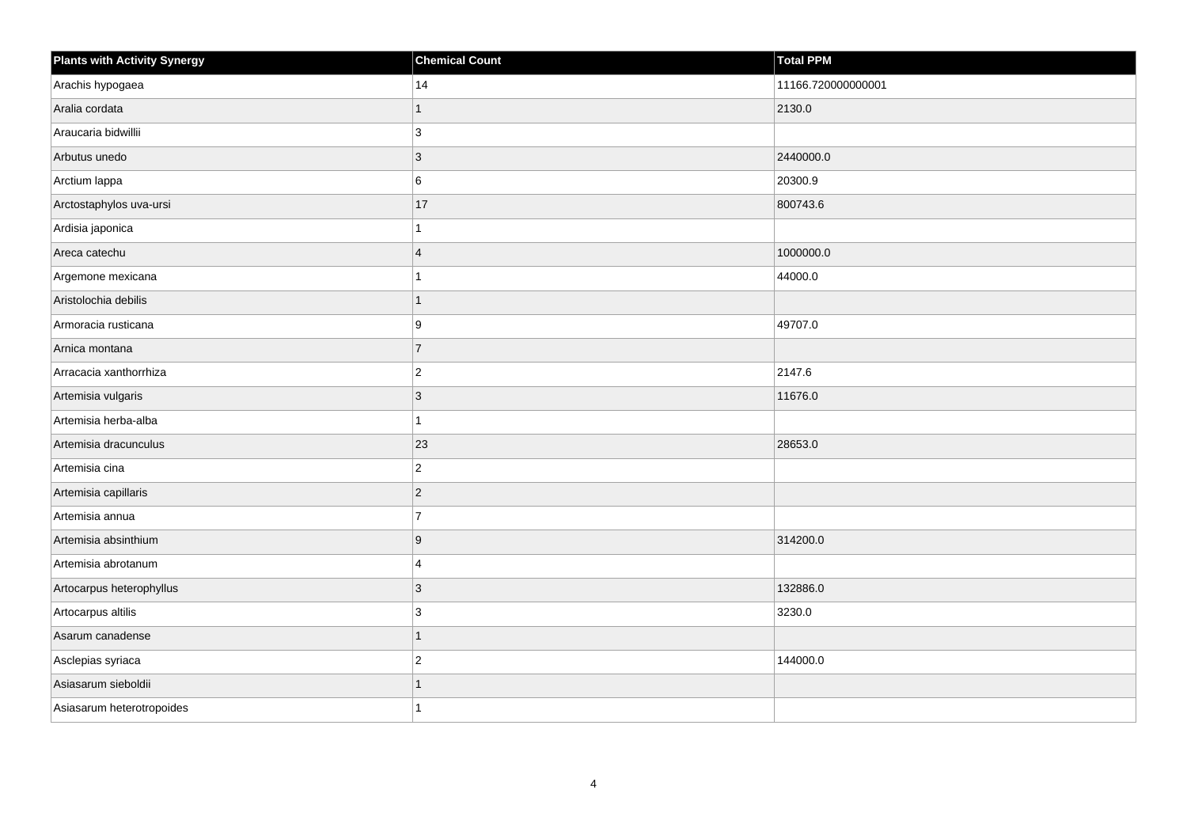| <b>Plants with Activity Synergy</b> | <b>Chemical Count</b>   | <b>Total PPM</b>   |
|-------------------------------------|-------------------------|--------------------|
| Arachis hypogaea                    | 14                      | 11166.720000000001 |
| Aralia cordata                      |                         | 2130.0             |
| Araucaria bidwillii                 | 3                       |                    |
| Arbutus unedo                       | $\overline{3}$          | 2440000.0          |
| Arctium lappa                       | 6                       | 20300.9            |
| Arctostaphylos uva-ursi             | 17                      | 800743.6           |
| Ardisia japonica                    |                         |                    |
| Areca catechu                       | $\overline{\mathbf{A}}$ | 1000000.0          |
| Argemone mexicana                   |                         | 44000.0            |
| Aristolochia debilis                | 1                       |                    |
| Armoracia rusticana                 | 9                       | 49707.0            |
| Arnica montana                      | $\overline{7}$          |                    |
| Arracacia xanthorrhiza              | $\overline{a}$          | 2147.6             |
| Artemisia vulgaris                  | 3                       | 11676.0            |
| Artemisia herba-alba                |                         |                    |
| Artemisia dracunculus               | 23                      | 28653.0            |
| Artemisia cina                      | $\overline{c}$          |                    |
| Artemisia capillaris                | $\overline{2}$          |                    |
| Artemisia annua                     | $\overline{7}$          |                    |
| Artemisia absinthium                | 9                       | 314200.0           |
| Artemisia abrotanum                 | 4                       |                    |
| Artocarpus heterophyllus            | 3                       | 132886.0           |
| Artocarpus altilis                  | 3                       | 3230.0             |
| Asarum canadense                    |                         |                    |
| Asclepias syriaca                   | $\overline{c}$          | 144000.0           |
| Asiasarum sieboldii                 |                         |                    |
| Asiasarum heterotropoides           |                         |                    |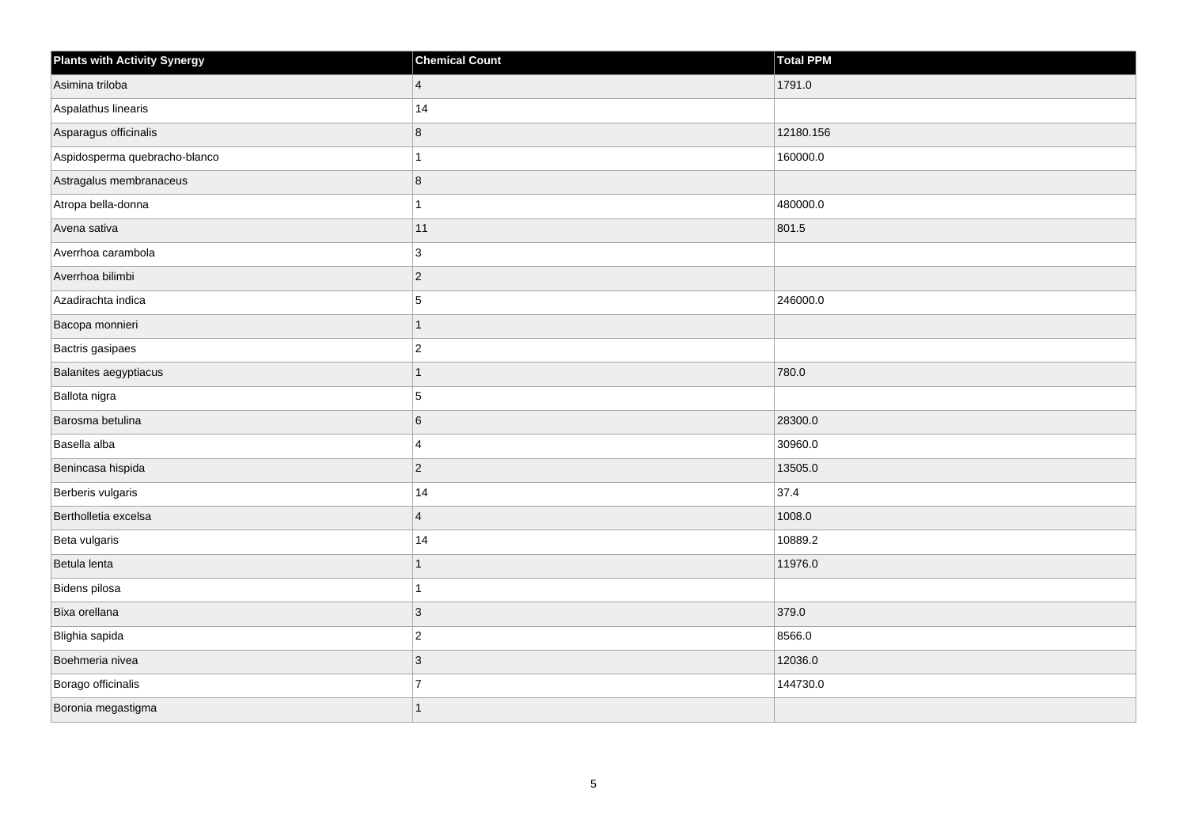| <b>Plants with Activity Synergy</b> | <b>Chemical Count</b> | Total PPM |
|-------------------------------------|-----------------------|-----------|
| Asimina triloba                     | $\vert 4 \vert$       | 1791.0    |
| Aspalathus linearis                 | 14                    |           |
| Asparagus officinalis               | 8                     | 12180.156 |
| Aspidosperma quebracho-blanco       | 1                     | 160000.0  |
| Astragalus membranaceus             | 8                     |           |
| Atropa bella-donna                  | $\mathbf{1}$          | 480000.0  |
| Avena sativa                        | 11                    | 801.5     |
| Averrhoa carambola                  | 3                     |           |
| Averrhoa bilimbi                    | $ 2\rangle$           |           |
| Azadirachta indica                  | $\overline{5}$        | 246000.0  |
| Bacopa monnieri                     | $\overline{1}$        |           |
| Bactris gasipaes                    | $ 2\rangle$           |           |
| Balanites aegyptiacus               | $\overline{1}$        | 780.0     |
| Ballota nigra                       | 5                     |           |
| Barosma betulina                    | $\,6$                 | 28300.0   |
| Basella alba                        | $\overline{4}$        | 30960.0   |
| Benincasa hispida                   | $ 2\rangle$           | 13505.0   |
| Berberis vulgaris                   | 14                    | 37.4      |
| Bertholletia excelsa                | $\overline{4}$        | 1008.0    |
| Beta vulgaris                       | 14                    | 10889.2   |
| Betula lenta                        | $\overline{1}$        | 11976.0   |
| Bidens pilosa                       | $\mathbf{1}$          |           |
| Bixa orellana                       | $\vert 3 \vert$       | 379.0     |
| Blighia sapida                      | $ 2\rangle$           | 8566.0    |
| Boehmeria nivea                     | 3                     | 12036.0   |
| Borago officinalis                  | $\overline{7}$        | 144730.0  |
| Boronia megastigma                  | 1                     |           |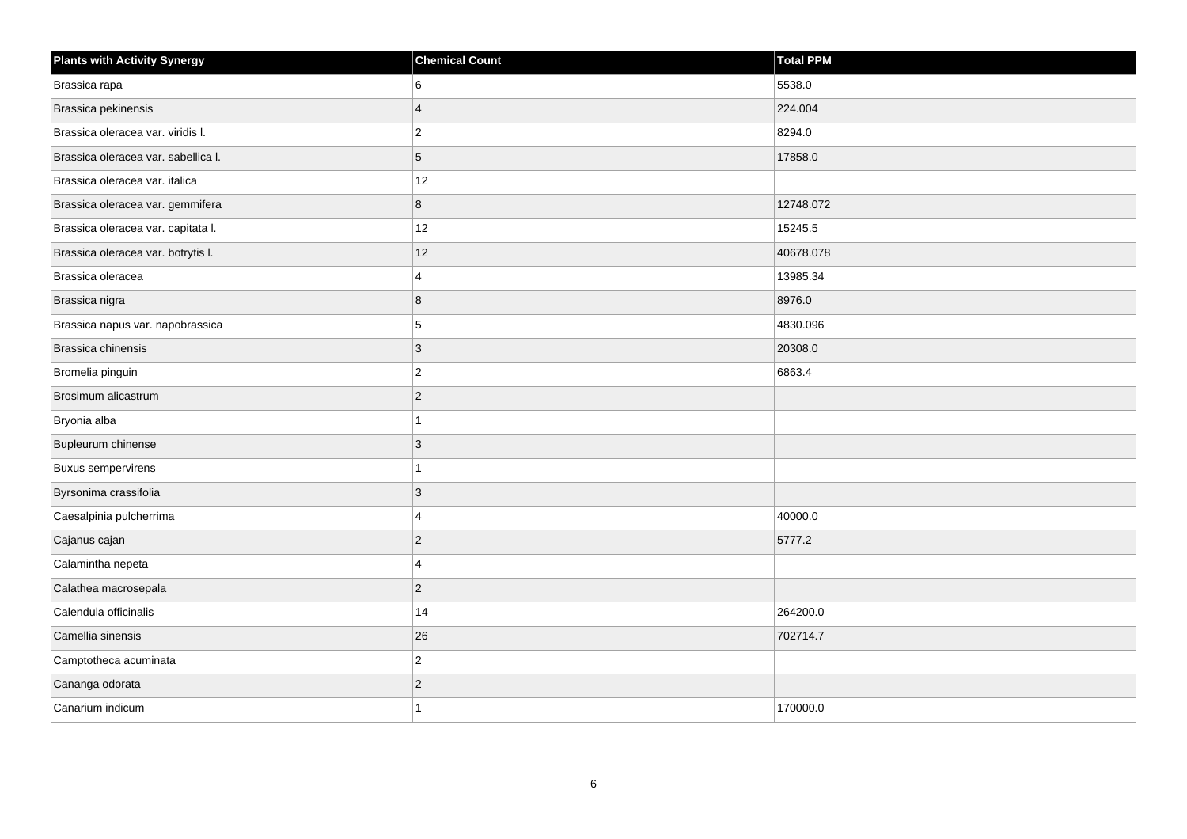| <b>Plants with Activity Synergy</b> | <b>Chemical Count</b> | <b>Total PPM</b> |
|-------------------------------------|-----------------------|------------------|
| Brassica rapa                       | 6                     | 5538.0           |
| Brassica pekinensis                 | $\overline{4}$        | 224.004          |
| Brassica oleracea var. viridis I.   | $\overline{c}$        | 8294.0           |
| Brassica oleracea var. sabellica I. | 5                     | 17858.0          |
| Brassica oleracea var. italica      | 12                    |                  |
| Brassica oleracea var. gemmifera    | 8                     | 12748.072        |
| Brassica oleracea var. capitata I.  | 12                    | 15245.5          |
| Brassica oleracea var. botrytis I.  | 12                    | 40678.078        |
| Brassica oleracea                   | 4                     | 13985.34         |
| Brassica nigra                      | 8                     | 8976.0           |
| Brassica napus var. napobrassica    | 5                     | 4830.096         |
| Brassica chinensis                  | 3                     | 20308.0          |
| Bromelia pinguin                    | $\overline{c}$        | 6863.4           |
| Brosimum alicastrum                 | $\overline{2}$        |                  |
| Bryonia alba                        | 1                     |                  |
| Bupleurum chinense                  | 3                     |                  |
| <b>Buxus sempervirens</b>           |                       |                  |
| Byrsonima crassifolia               | 3                     |                  |
| Caesalpinia pulcherrima             | 4                     | 40000.0          |
| Cajanus cajan                       | $\overline{c}$        | 5777.2           |
| Calamintha nepeta                   | 4                     |                  |
| Calathea macrosepala                | $\overline{c}$        |                  |
| Calendula officinalis               | 14                    | 264200.0         |
| Camellia sinensis                   | 26                    | 702714.7         |
| Camptotheca acuminata               | $\overline{c}$        |                  |
| Cananga odorata                     | $\mathbf{2}$          |                  |
| Canarium indicum                    | 1                     | 170000.0         |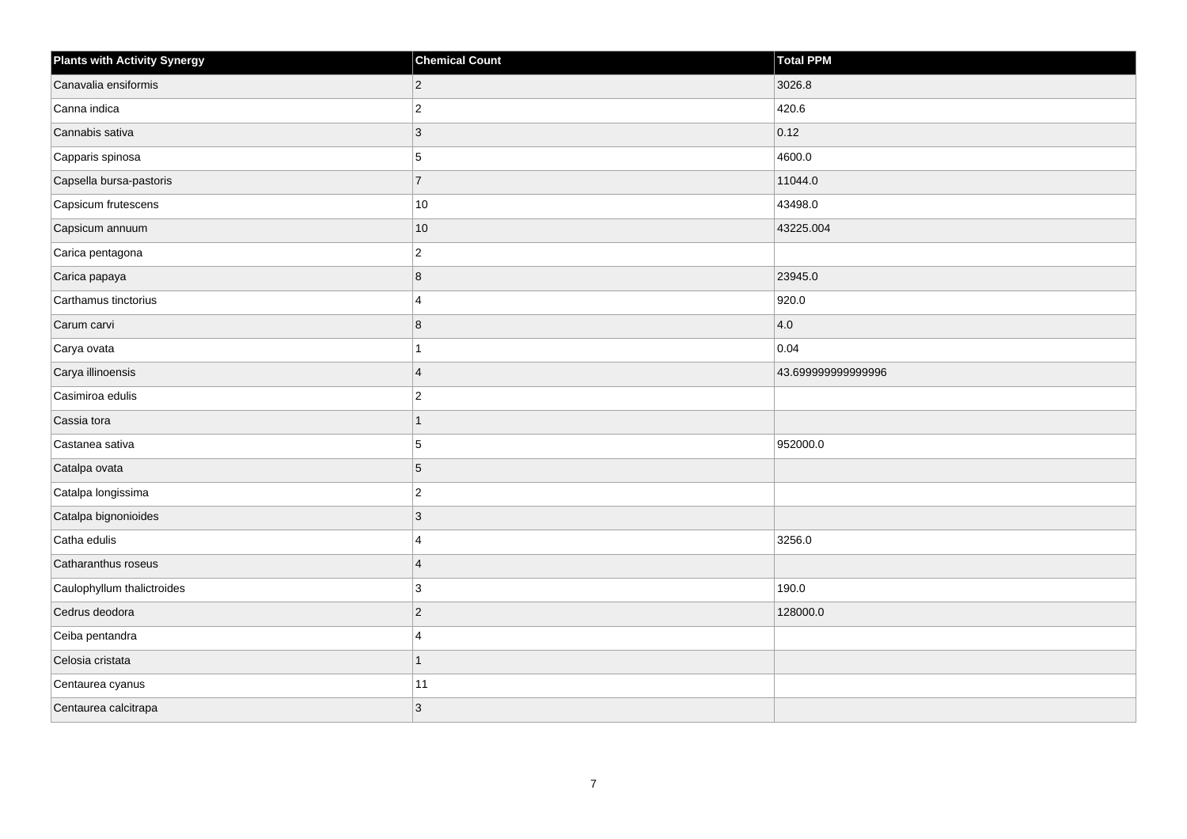| <b>Plants with Activity Synergy</b> | <b>Chemical Count</b>   | Total PPM          |
|-------------------------------------|-------------------------|--------------------|
| Canavalia ensiformis                | $\overline{2}$          | 3026.8             |
| Canna indica                        | $\overline{2}$          | 420.6              |
| Cannabis sativa                     | 3                       | 0.12               |
| Capparis spinosa                    | 5                       | 4600.0             |
| Capsella bursa-pastoris             | $\overline{7}$          | 11044.0            |
| Capsicum frutescens                 | $10\,$                  | 43498.0            |
| Capsicum annuum                     | $10$                    | 43225.004          |
| Carica pentagona                    | $\overline{2}$          |                    |
| Carica papaya                       | 8                       | 23945.0            |
| Carthamus tinctorius                | 4                       | 920.0              |
| Carum carvi                         | 8                       | 4.0                |
| Carya ovata                         |                         | 0.04               |
| Carya illinoensis                   | $\overline{4}$          | 43.699999999999996 |
| Casimiroa edulis                    | $\overline{2}$          |                    |
| Cassia tora                         | 1                       |                    |
| Castanea sativa                     | 5                       | 952000.0           |
| Catalpa ovata                       | 5                       |                    |
| Catalpa longissima                  | $\overline{c}$          |                    |
| Catalpa bignonioides                | $\overline{3}$          |                    |
| Catha edulis                        | $\boldsymbol{\Delta}$   | 3256.0             |
| Catharanthus roseus                 | $\overline{4}$          |                    |
| Caulophyllum thalictroides          | 3                       | 190.0              |
| Cedrus deodora                      | $\overline{a}$          | 128000.0           |
| Ceiba pentandra                     | $\overline{\mathbf{A}}$ |                    |
| Celosia cristata                    | $\overline{1}$          |                    |
| Centaurea cyanus                    | 11                      |                    |
| Centaurea calcitrapa                | 3                       |                    |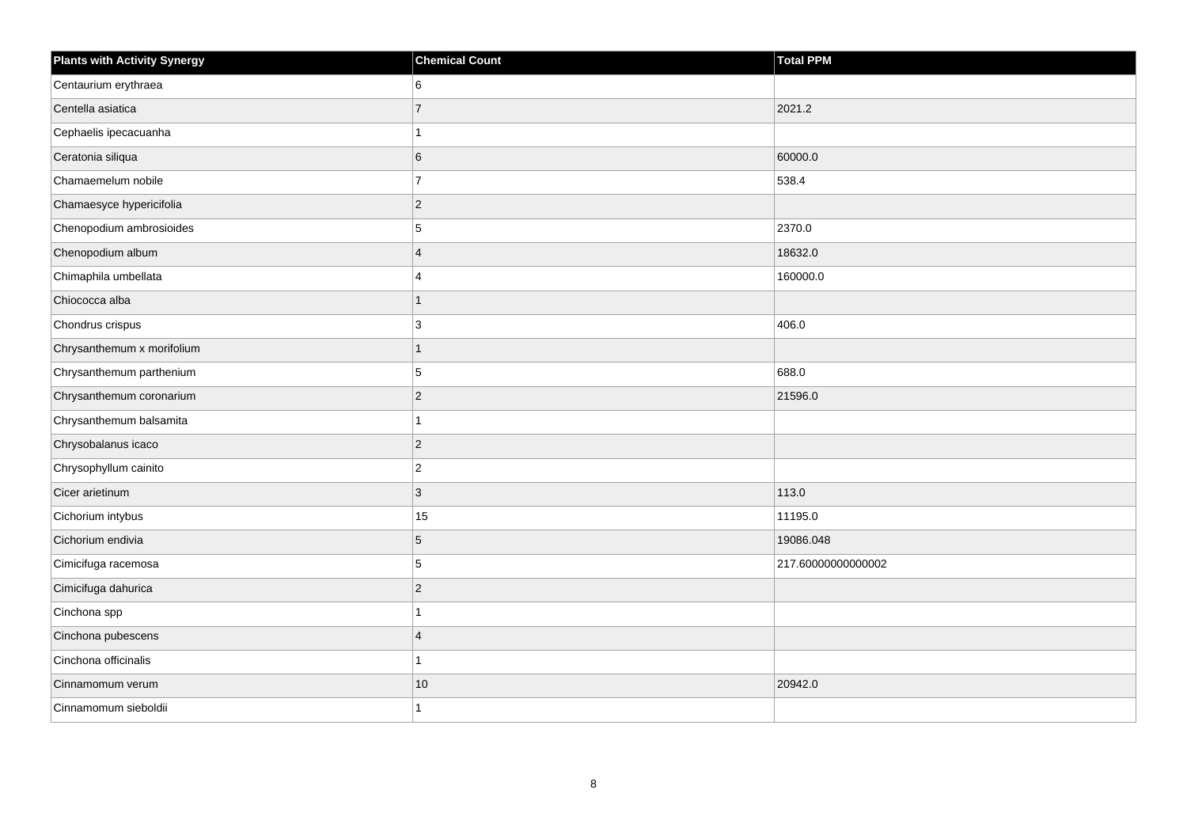| <b>Plants with Activity Synergy</b> | <b>Chemical Count</b>   | <b>Total PPM</b>   |
|-------------------------------------|-------------------------|--------------------|
| Centaurium erythraea                | 6                       |                    |
| Centella asiatica                   | $\overline{7}$          | 2021.2             |
| Cephaelis ipecacuanha               |                         |                    |
| Ceratonia siliqua                   | 6                       | 60000.0            |
| Chamaemelum nobile                  | $\overline{7}$          | 538.4              |
| Chamaesyce hypericifolia            | $\overline{2}$          |                    |
| Chenopodium ambrosioides            | 5                       | 2370.0             |
| Chenopodium album                   | $\overline{\mathbf{A}}$ | 18632.0            |
| Chimaphila umbellata                | $\Delta$                | 160000.0           |
| Chiococca alba                      | 1                       |                    |
| Chondrus crispus                    | 3                       | 406.0              |
| Chrysanthemum x morifolium          |                         |                    |
| Chrysanthemum parthenium            | 5                       | 688.0              |
| Chrysanthemum coronarium            | $\overline{2}$          | 21596.0            |
| Chrysanthemum balsamita             |                         |                    |
| Chrysobalanus icaco                 | $\overline{2}$          |                    |
| Chrysophyllum cainito               | $\overline{2}$          |                    |
| Cicer arietinum                     | $\overline{3}$          | 113.0              |
| Cichorium intybus                   | 15                      | 11195.0            |
| Cichorium endivia                   | 5                       | 19086.048          |
| Cimicifuga racemosa                 | 5                       | 217.60000000000002 |
| Cimicifuga dahurica                 | $\overline{2}$          |                    |
| Cinchona spp                        |                         |                    |
| Cinchona pubescens                  | $\Delta$                |                    |
| Cinchona officinalis                |                         |                    |
| Cinnamomum verum                    | $10$                    | 20942.0            |
| Cinnamomum sieboldii                |                         |                    |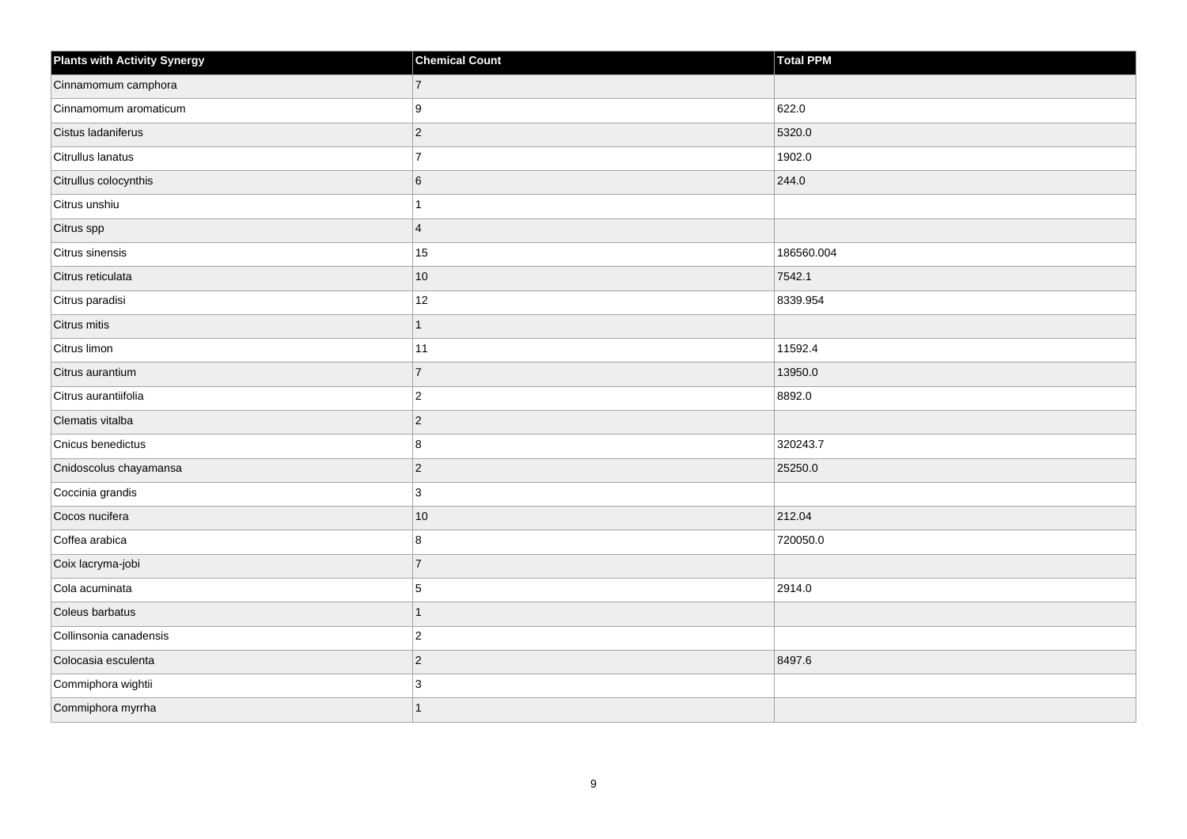| <b>Plants with Activity Synergy</b> | <b>Chemical Count</b> | <b>Total PPM</b> |
|-------------------------------------|-----------------------|------------------|
| Cinnamomum camphora                 | $\overline{7}$        |                  |
| Cinnamomum aromaticum               | 9                     | 622.0            |
| Cistus ladaniferus                  | $\overline{2}$        | 5320.0           |
| Citrullus lanatus                   | $\overline{7}$        | 1902.0           |
| Citrullus colocynthis               | 6                     | 244.0            |
| Citrus unshiu                       |                       |                  |
| Citrus spp                          | $\overline{4}$        |                  |
| Citrus sinensis                     | 15                    | 186560.004       |
| Citrus reticulata                   | 10                    | 7542.1           |
| Citrus paradisi                     | 12                    | 8339.954         |
| Citrus mitis                        | 1                     |                  |
| Citrus limon                        | 11                    | 11592.4          |
| Citrus aurantium                    | $\overline{7}$        | 13950.0          |
| Citrus aurantiifolia                | $\overline{2}$        | 8892.0           |
| Clematis vitalba                    | $\overline{2}$        |                  |
| Cnicus benedictus                   | 8                     | 320243.7         |
| Cnidoscolus chayamansa              | $\overline{a}$        | 25250.0          |
| Coccinia grandis                    | 3                     |                  |
| Cocos nucifera                      | $10$                  | 212.04           |
| Coffea arabica                      | 8                     | 720050.0         |
| Coix lacryma-jobi                   | $\overline{7}$        |                  |
| Cola acuminata                      | 5                     | 2914.0           |
| Coleus barbatus                     |                       |                  |
| Collinsonia canadensis              | $\overline{2}$        |                  |
| Colocasia esculenta                 | $\overline{2}$        | 8497.6           |
| Commiphora wightii                  | 3                     |                  |
| Commiphora myrrha                   | 1                     |                  |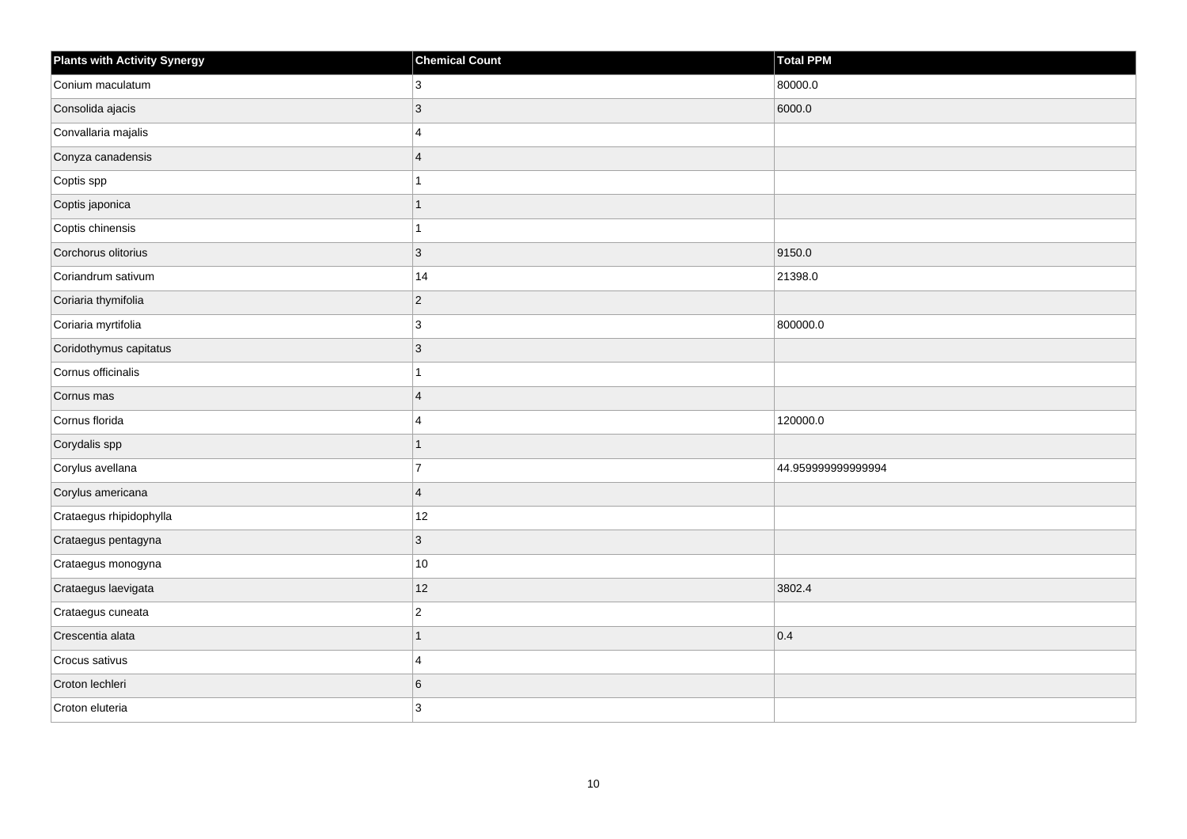| <b>Plants with Activity Synergy</b> | <b>Chemical Count</b> | <b>Total PPM</b>   |
|-------------------------------------|-----------------------|--------------------|
| Conium maculatum                    | 3                     | 80000.0            |
| Consolida ajacis                    | 3                     | 6000.0             |
| Convallaria majalis                 | 4                     |                    |
| Conyza canadensis                   | $\overline{4}$        |                    |
| Coptis spp                          |                       |                    |
| Coptis japonica                     | 1                     |                    |
| Coptis chinensis                    |                       |                    |
| Corchorus olitorius                 | 3                     | 9150.0             |
| Coriandrum sativum                  | 14                    | 21398.0            |
| Coriaria thymifolia                 | $\overline{2}$        |                    |
| Coriaria myrtifolia                 | 3                     | 800000.0           |
| Coridothymus capitatus              | 3                     |                    |
| Cornus officinalis                  |                       |                    |
| Cornus mas                          | $\overline{4}$        |                    |
| Cornus florida                      | 4                     | 120000.0           |
| Corydalis spp                       | $\overline{1}$        |                    |
| Corylus avellana                    | $\overline{7}$        | 44.959999999999994 |
| Corylus americana                   | $\overline{4}$        |                    |
| Crataegus rhipidophylla             | 12                    |                    |
| Crataegus pentagyna                 | 3                     |                    |
| Crataegus monogyna                  | $10\,$                |                    |
| Crataegus laevigata                 | 12                    | 3802.4             |
| Crataegus cuneata                   | $\overline{c}$        |                    |
| Crescentia alata                    | 1                     | 0.4                |
| Crocus sativus                      | 4                     |                    |
| Croton lechleri                     | 6                     |                    |
| Croton eluteria                     | 3                     |                    |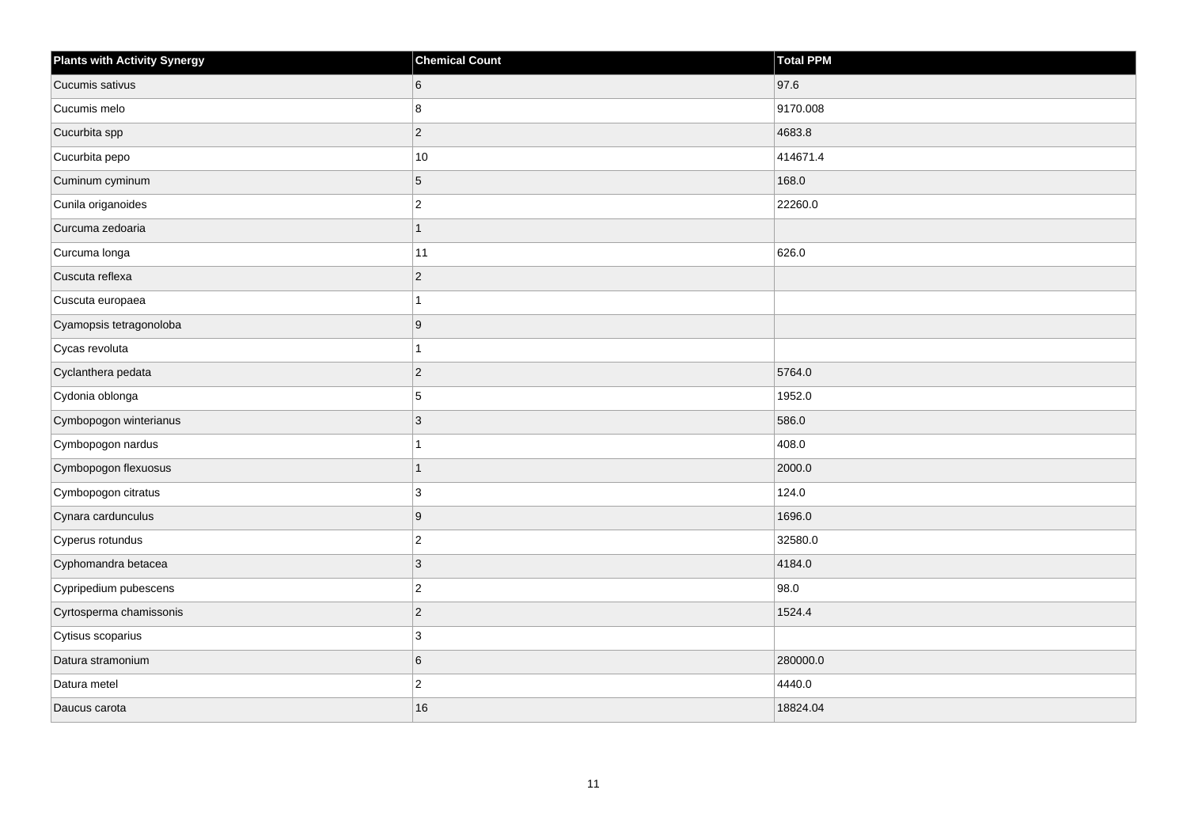| <b>Plants with Activity Synergy</b> | <b>Chemical Count</b>   | <b>Total PPM</b> |
|-------------------------------------|-------------------------|------------------|
| Cucumis sativus                     | 6                       | 97.6             |
| Cucumis melo                        | 8                       | 9170.008         |
| Cucurbita spp                       | $\overline{c}$          | 4683.8           |
| Cucurbita pepo                      | $10$                    | 414671.4         |
| Cuminum cyminum                     | 5                       | 168.0            |
| Cunila origanoides                  | $\overline{c}$          | 22260.0          |
| Curcuma zedoaria                    | $\mathbf{1}$            |                  |
| Curcuma longa                       | 11                      | 626.0            |
| Cuscuta reflexa                     | $\overline{c}$          |                  |
| Cuscuta europaea                    | 1                       |                  |
| Cyamopsis tetragonoloba             | 9                       |                  |
| Cycas revoluta                      | 1                       |                  |
| Cyclanthera pedata                  | $\overline{c}$          | 5764.0           |
| Cydonia oblonga                     | 5                       | 1952.0           |
| Cymbopogon winterianus              | 3                       | 586.0            |
| Cymbopogon nardus                   | 1                       | 408.0            |
| Cymbopogon flexuosus                | 1                       | 2000.0           |
| Cymbopogon citratus                 | 3                       | 124.0            |
| Cynara cardunculus                  | 9                       | 1696.0           |
| Cyperus rotundus                    | $\overline{c}$          | 32580.0          |
| Cyphomandra betacea                 | 3                       | 4184.0           |
| Cypripedium pubescens               | $\overline{2}$          | 98.0             |
| Cyrtosperma chamissonis             | $\overline{c}$          | 1524.4           |
| Cytisus scoparius                   | 3                       |                  |
| Datura stramonium                   | 6                       | 280000.0         |
| Datura metel                        | $\overline{\mathbf{c}}$ | 4440.0           |
| Daucus carota                       | 16                      | 18824.04         |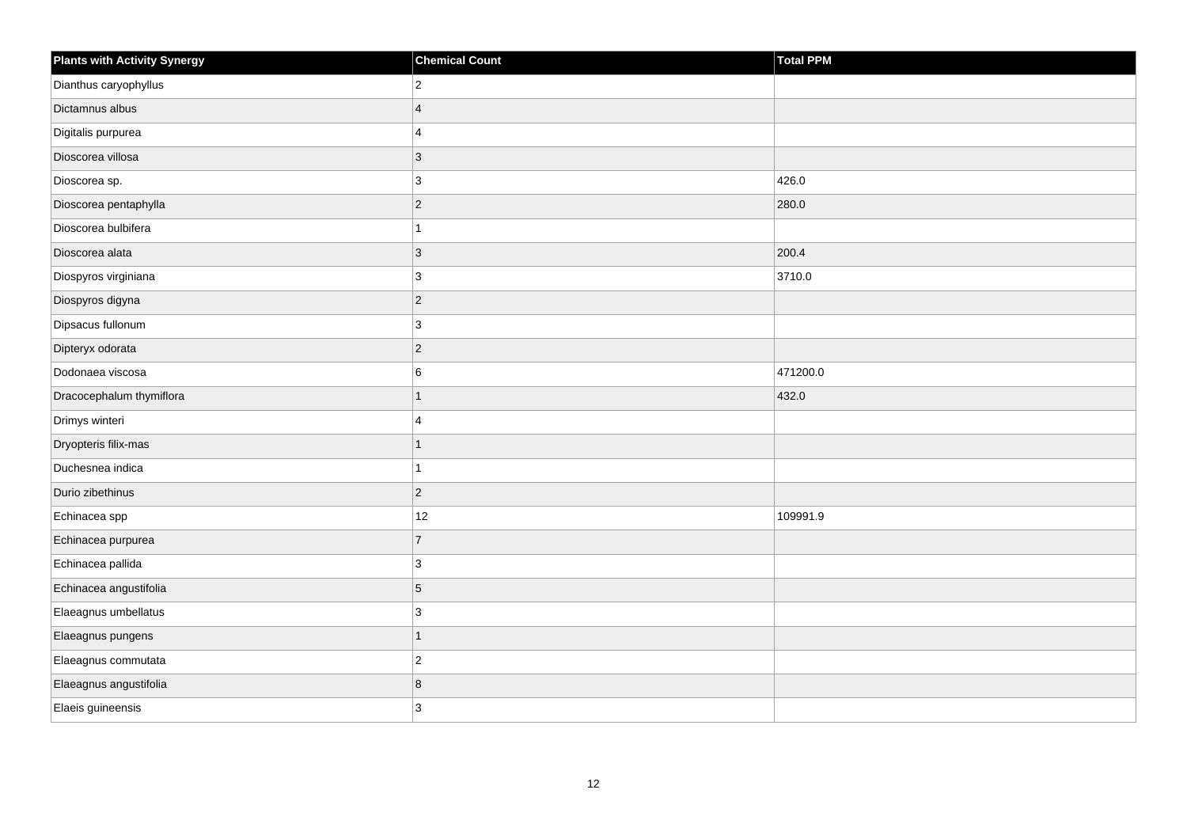| <b>Plants with Activity Synergy</b> | <b>Chemical Count</b> | <b>Total PPM</b> |
|-------------------------------------|-----------------------|------------------|
| Dianthus caryophyllus               | $\overline{2}$        |                  |
| Dictamnus albus                     | $\overline{4}$        |                  |
| Digitalis purpurea                  | 4                     |                  |
| Dioscorea villosa                   | $\overline{3}$        |                  |
| Dioscorea sp.                       | 3                     | 426.0            |
| Dioscorea pentaphylla               | $\overline{c}$        | 280.0            |
| Dioscorea bulbifera                 | 1                     |                  |
| Dioscorea alata                     | $\mathbf{3}$          | 200.4            |
| Diospyros virginiana                | $\mathbf{3}$          | 3710.0           |
| Diospyros digyna                    | $\overline{2}$        |                  |
| Dipsacus fullonum                   | 3                     |                  |
| Dipteryx odorata                    | $ 2\rangle$           |                  |
| Dodonaea viscosa                    | 6                     | 471200.0         |
| Dracocephalum thymiflora            | $\overline{1}$        | 432.0            |
| Drimys winteri                      | 4                     |                  |
| Dryopteris filix-mas                | $\overline{1}$        |                  |
| Duchesnea indica                    | 1                     |                  |
| Durio zibethinus                    | $\overline{c}$        |                  |
| Echinacea spp                       | 12                    | 109991.9         |
| Echinacea purpurea                  | $\overline{7}$        |                  |
| Echinacea pallida                   | 3                     |                  |
| Echinacea angustifolia              | 5                     |                  |
| Elaeagnus umbellatus                | 3                     |                  |
| Elaeagnus pungens                   | $\overline{1}$        |                  |
| Elaeagnus commutata                 | $\overline{c}$        |                  |
| Elaeagnus angustifolia              | 8                     |                  |
| Elaeis guineensis                   | 3                     |                  |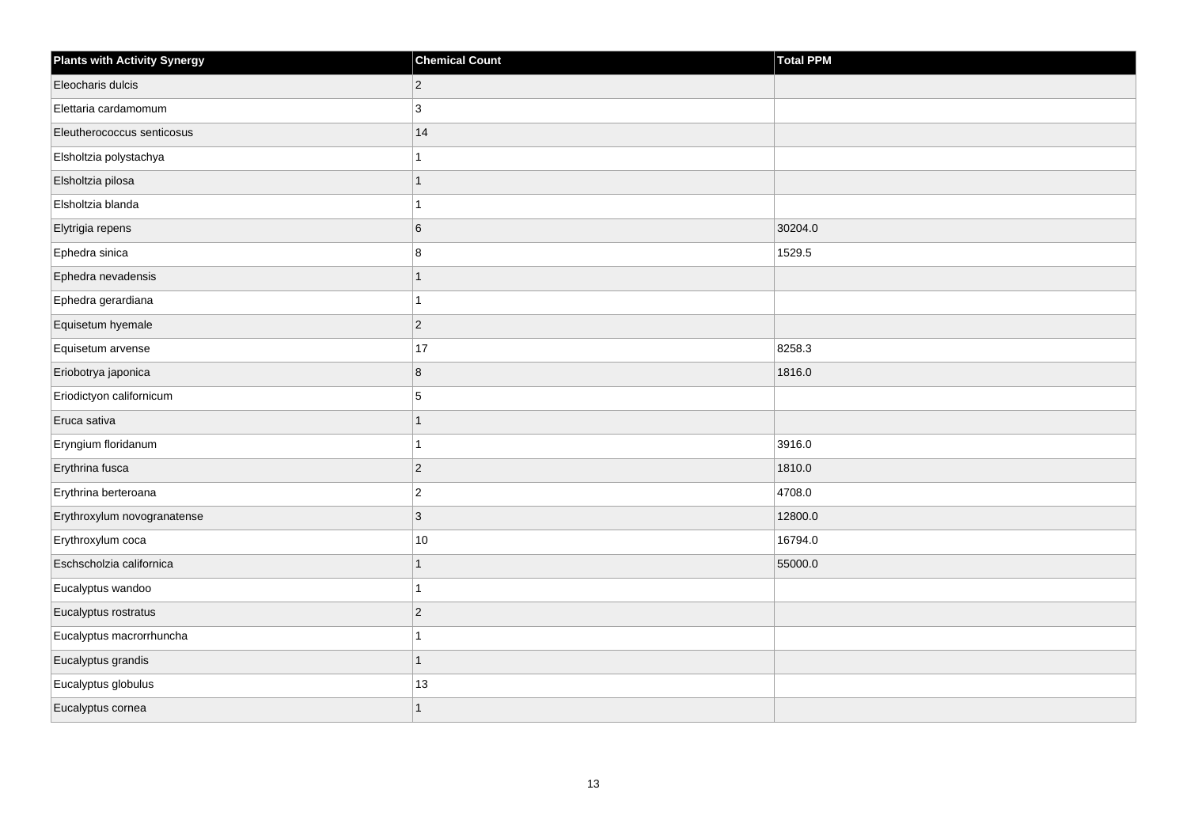| <b>Plants with Activity Synergy</b> | <b>Chemical Count</b>    | Total PPM |
|-------------------------------------|--------------------------|-----------|
| Eleocharis dulcis                   | $\overline{2}$           |           |
| Elettaria cardamomum                | 3                        |           |
| Eleutherococcus senticosus          | 14                       |           |
| Elsholtzia polystachya              |                          |           |
| Elsholtzia pilosa                   | 1                        |           |
| Elsholtzia blanda                   |                          |           |
| Elytrigia repens                    | 6                        | 30204.0   |
| Ephedra sinica                      | 8                        | 1529.5    |
| Ephedra nevadensis                  | $\overline{\phantom{a}}$ |           |
| Ephedra gerardiana                  | 4                        |           |
| Equisetum hyemale                   | $\overline{a}$           |           |
| Equisetum arvense                   | 17                       | 8258.3    |
| Eriobotrya japonica                 | 8                        | 1816.0    |
| Eriodictyon californicum            | 5                        |           |
| Eruca sativa                        | 1                        |           |
| Eryngium floridanum                 | 1                        | 3916.0    |
| Erythrina fusca                     | $\overline{2}$           | 1810.0    |
| Erythrina berteroana                | $\overline{c}$           | 4708.0    |
| Erythroxylum novogranatense         | 3                        | 12800.0   |
| Erythroxylum coca                   | $10\,$                   | 16794.0   |
| Eschscholzia californica            | 1                        | 55000.0   |
| Eucalyptus wandoo                   | 1                        |           |
| Eucalyptus rostratus                | $\overline{a}$           |           |
| Eucalyptus macrorrhuncha            |                          |           |
| Eucalyptus grandis                  | $\overline{1}$           |           |
| Eucalyptus globulus                 | 13                       |           |
| Eucalyptus cornea                   |                          |           |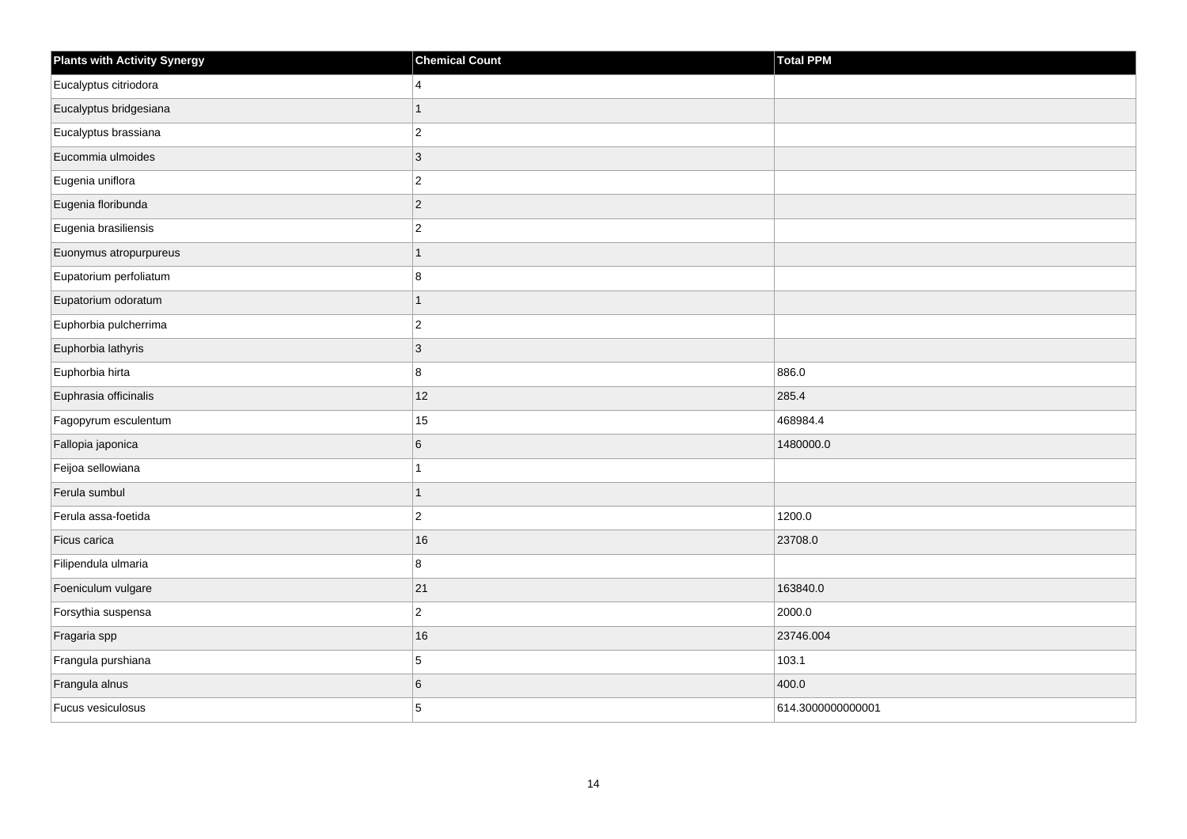| <b>Plants with Activity Synergy</b> | <b>Chemical Count</b>   | <b>Total PPM</b>  |
|-------------------------------------|-------------------------|-------------------|
| Eucalyptus citriodora               | $\overline{4}$          |                   |
| Eucalyptus bridgesiana              | $\overline{1}$          |                   |
| Eucalyptus brassiana                | $\overline{c}$          |                   |
| Eucommia ulmoides                   | $\overline{3}$          |                   |
| Eugenia uniflora                    | $\overline{\mathbf{c}}$ |                   |
| Eugenia floribunda                  | $\overline{c}$          |                   |
| Eugenia brasiliensis                | $\overline{c}$          |                   |
| Euonymus atropurpureus              | $\overline{1}$          |                   |
| Eupatorium perfoliatum              | 8                       |                   |
| Eupatorium odoratum                 | $\overline{1}$          |                   |
| Euphorbia pulcherrima               | $\overline{c}$          |                   |
| Euphorbia lathyris                  | $\overline{3}$          |                   |
| Euphorbia hirta                     | 8                       | 886.0             |
| Euphrasia officinalis               | 12                      | 285.4             |
| Fagopyrum esculentum                | $15\,$                  | 468984.4          |
| Fallopia japonica                   | 6                       | 1480000.0         |
| Feijoa sellowiana                   | 1                       |                   |
| Ferula sumbul                       | $\mathbf{1}$            |                   |
| Ferula assa-foetida                 | $\overline{2}$          | 1200.0            |
| Ficus carica                        | 16                      | 23708.0           |
| Filipendula ulmaria                 | 8                       |                   |
| Foeniculum vulgare                  | 21                      | 163840.0          |
| Forsythia suspensa                  | $\overline{\mathbf{c}}$ | 2000.0            |
| Fragaria spp                        | 16                      | 23746.004         |
| Frangula purshiana                  | 5                       | 103.1             |
| Frangula alnus                      | 6                       | 400.0             |
| Fucus vesiculosus                   | 5                       | 614.3000000000001 |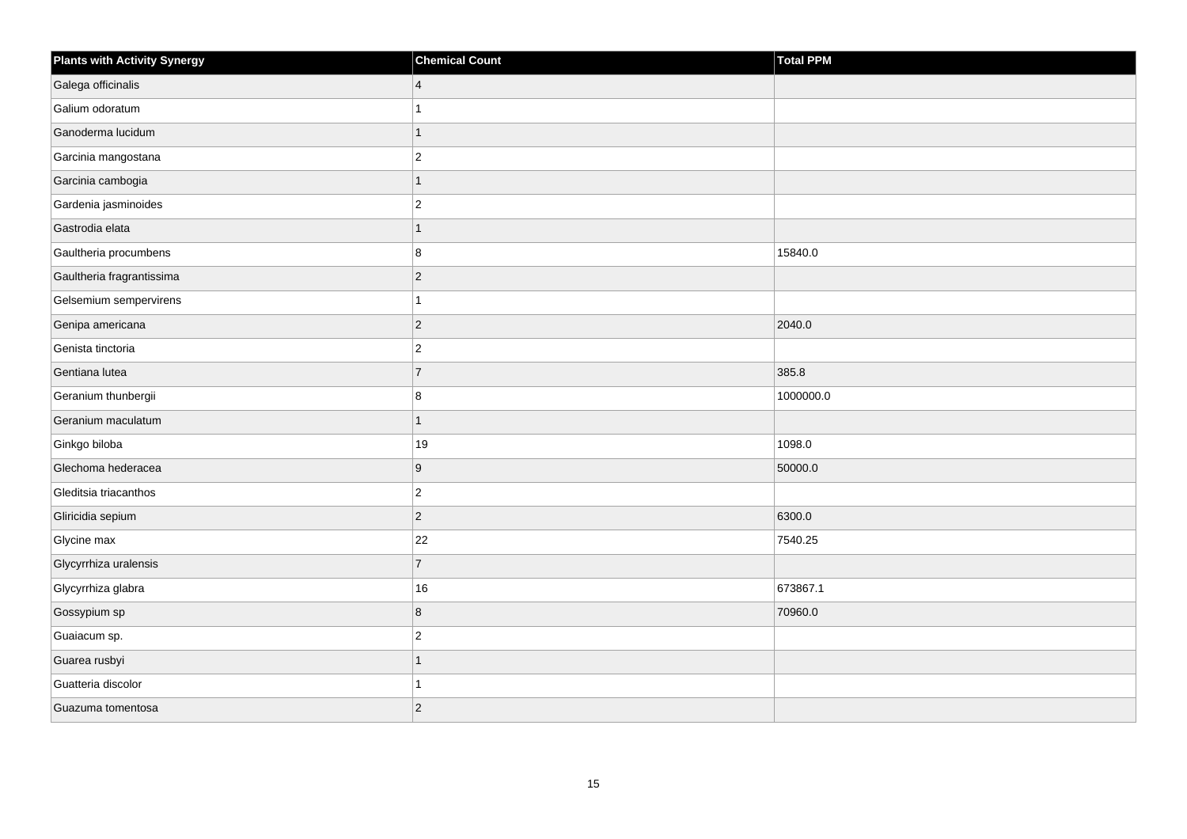| <b>Plants with Activity Synergy</b> | <b>Chemical Count</b> | Total PPM |
|-------------------------------------|-----------------------|-----------|
| Galega officinalis                  | $\vert 4 \vert$       |           |
| Galium odoratum                     | 1                     |           |
| Ganoderma lucidum                   | $\overline{1}$        |           |
| Garcinia mangostana                 | $ 2\rangle$           |           |
| Garcinia cambogia                   | 1                     |           |
| Gardenia jasminoides                | $\overline{2}$        |           |
| Gastrodia elata                     | $\mathbf{1}$          |           |
| Gaultheria procumbens               | 8                     | 15840.0   |
| Gaultheria fragrantissima           | $ 2\rangle$           |           |
| Gelsemium sempervirens              | 1                     |           |
| Genipa americana                    | $ 2\rangle$           | 2040.0    |
| Genista tinctoria                   | $\vert$ 2             |           |
| Gentiana lutea                      | 7                     | 385.8     |
| Geranium thunbergii                 | 8                     | 1000000.0 |
| Geranium maculatum                  | 1                     |           |
| Ginkgo biloba                       | 19                    | 1098.0    |
| Glechoma hederacea                  | 9                     | 50000.0   |
| Gleditsia triacanthos               | $ 2\rangle$           |           |
| Gliricidia sepium                   | $ 2\rangle$           | 6300.0    |
| Glycine max                         | 22                    | 7540.25   |
| Glycyrrhiza uralensis               | $\overline{7}$        |           |
| Glycyrrhiza glabra                  | 16                    | 673867.1  |
| Gossypium sp                        | 8                     | 70960.0   |
| Guaiacum sp.                        | $\vert$ 2             |           |
| Guarea rusbyi                       | $\overline{1}$        |           |
| Guatteria discolor                  | 1                     |           |
| Guazuma tomentosa                   | $\overline{2}$        |           |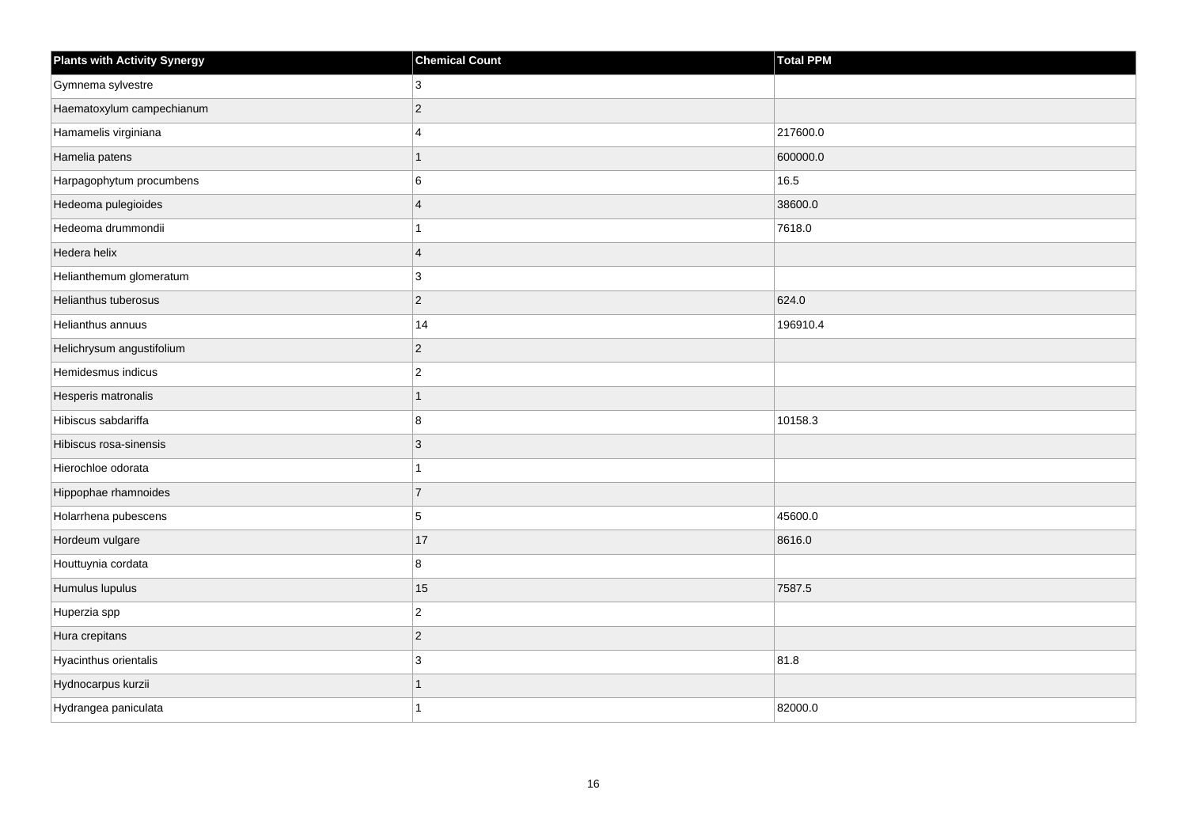| <b>Plants with Activity Synergy</b> | <b>Chemical Count</b>   | <b>Total PPM</b> |
|-------------------------------------|-------------------------|------------------|
| Gymnema sylvestre                   | 3                       |                  |
| Haematoxylum campechianum           | $\overline{2}$          |                  |
| Hamamelis virginiana                | $\overline{\mathbf{4}}$ | 217600.0         |
| Hamelia patens                      | 1                       | 600000.0         |
| Harpagophytum procumbens            | 6                       | 16.5             |
| Hedeoma pulegioides                 | $\overline{\mathbf{4}}$ | 38600.0          |
| Hedeoma drummondii                  |                         | 7618.0           |
| Hedera helix                        | $\overline{\mathbf{A}}$ |                  |
| Helianthemum glomeratum             | 3                       |                  |
| Helianthus tuberosus                | $\overline{2}$          | 624.0            |
| Helianthus annuus                   | 14                      | 196910.4         |
| Helichrysum angustifolium           | $\overline{2}$          |                  |
| Hemidesmus indicus                  | $\overline{2}$          |                  |
| Hesperis matronalis                 |                         |                  |
| Hibiscus sabdariffa                 | 8                       | 10158.3          |
| Hibiscus rosa-sinensis              | 3                       |                  |
| Hierochloe odorata                  |                         |                  |
| Hippophae rhamnoides                | $\overline{7}$          |                  |
| Holarrhena pubescens                | 5                       | 45600.0          |
| Hordeum vulgare                     | 17                      | 8616.0           |
| Houttuynia cordata                  | 8                       |                  |
| Humulus lupulus                     | 15                      | 7587.5           |
| Huperzia spp                        | $\overline{c}$          |                  |
| Hura crepitans                      | $\overline{2}$          |                  |
| Hyacinthus orientalis               | 3                       | 81.8             |
| Hydnocarpus kurzii                  |                         |                  |
| Hydrangea paniculata                |                         | 82000.0          |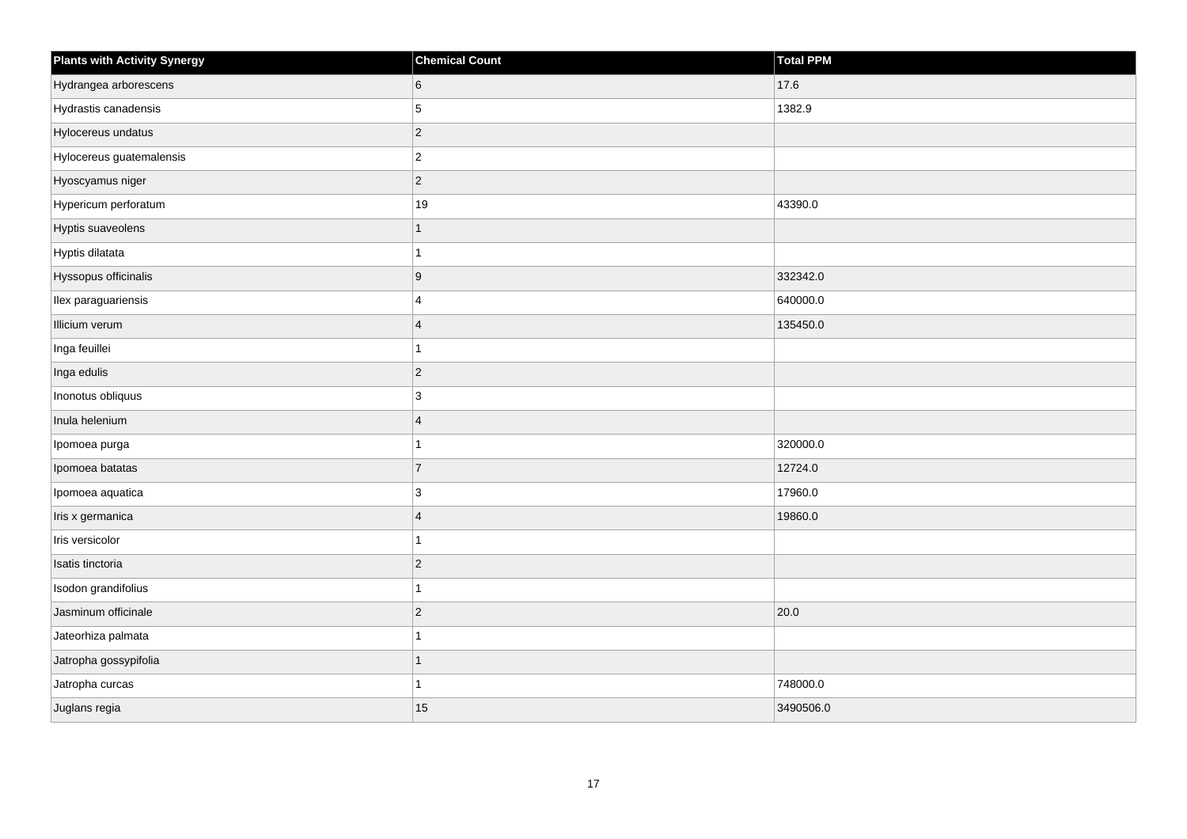| <b>Plants with Activity Synergy</b> | <b>Chemical Count</b> | Total PPM |
|-------------------------------------|-----------------------|-----------|
| Hydrangea arborescens               | 6                     | 17.6      |
| Hydrastis canadensis                | 5                     | 1382.9    |
| Hylocereus undatus                  | $ 2\rangle$           |           |
| Hylocereus guatemalensis            | $ 2\rangle$           |           |
| Hyoscyamus niger                    | $ 2\rangle$           |           |
| Hypericum perforatum                | $19$                  | 43390.0   |
| Hyptis suaveolens                   | $\overline{1}$        |           |
| Hyptis dilatata                     | 1                     |           |
| Hyssopus officinalis                | 9                     | 332342.0  |
| Ilex paraguariensis                 | $\overline{4}$        | 640000.0  |
| Illicium verum                      | $\overline{4}$        | 135450.0  |
| Inga feuillei                       | $\mathbf{1}$          |           |
| Inga edulis                         | $ 2\rangle$           |           |
| Inonotus obliquus                   | 3                     |           |
| Inula helenium                      | $\overline{4}$        |           |
| Ipomoea purga                       | 1                     | 320000.0  |
| Ipomoea batatas                     | $\overline{7}$        | 12724.0   |
| Ipomoea aquatica                    | 3                     | 17960.0   |
| Iris x germanica                    | $\overline{4}$        | 19860.0   |
| Iris versicolor                     | 1                     |           |
| Isatis tinctoria                    | $ 2\rangle$           |           |
| Isodon grandifolius                 | $\mathbf{1}$          |           |
| Jasminum officinale                 | $ 2\rangle$           | 20.0      |
| Jateorhiza palmata                  | 1                     |           |
| Jatropha gossypifolia               | $\overline{1}$        |           |
| Jatropha curcas                     | 1                     | 748000.0  |
| Juglans regia                       | 15                    | 3490506.0 |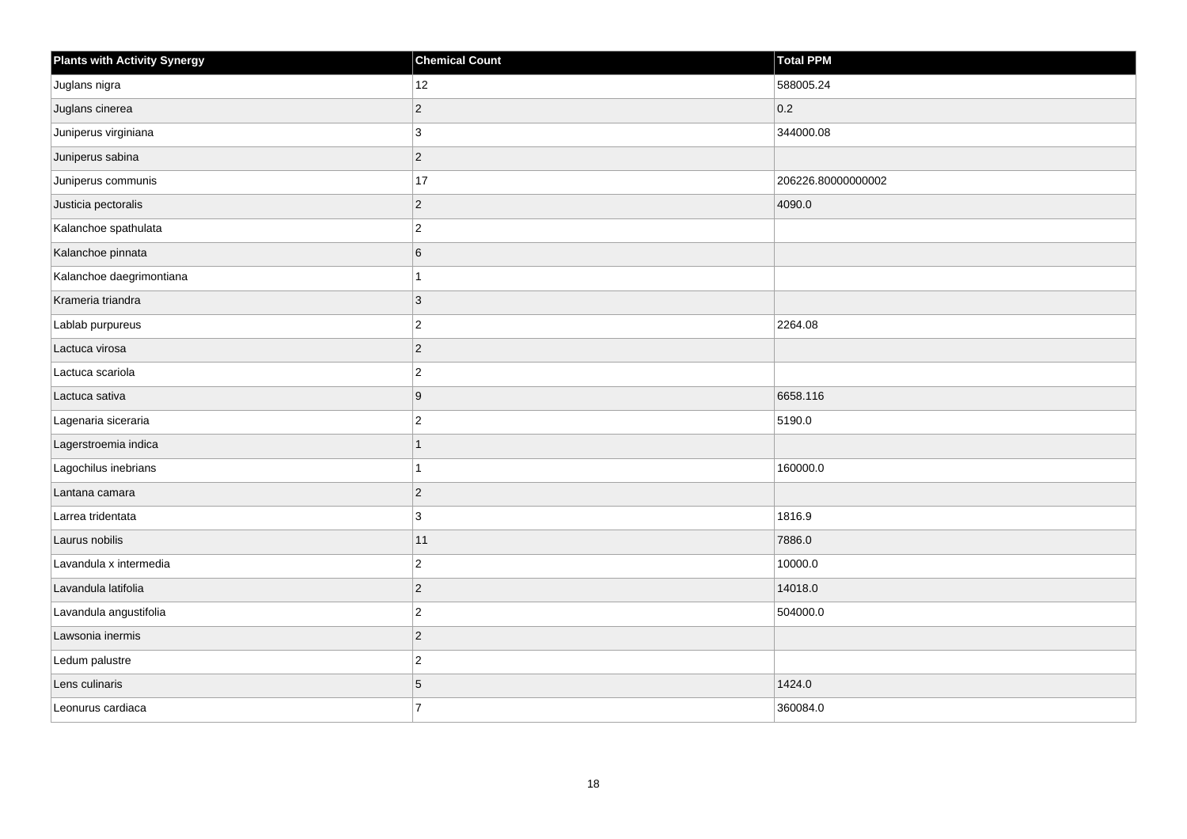| <b>Plants with Activity Synergy</b> | <b>Chemical Count</b> | Total PPM          |
|-------------------------------------|-----------------------|--------------------|
| Juglans nigra                       | 12                    | 588005.24          |
| Juglans cinerea                     | $\overline{2}$        | 0.2                |
| Juniperus virginiana                | 3                     | 344000.08          |
| Juniperus sabina                    | $\overline{2}$        |                    |
| Juniperus communis                  | 17                    | 206226.80000000002 |
| Justicia pectoralis                 | $\overline{c}$        | 4090.0             |
| Kalanchoe spathulata                | $\overline{2}$        |                    |
| Kalanchoe pinnata                   | 6                     |                    |
| Kalanchoe daegrimontiana            |                       |                    |
| Krameria triandra                   | 3                     |                    |
| Lablab purpureus                    | $\overline{c}$        | 2264.08            |
| Lactuca virosa                      | $\overline{c}$        |                    |
| Lactuca scariola                    | $\overline{2}$        |                    |
| Lactuca sativa                      | 9                     | 6658.116           |
| Lagenaria siceraria                 | $\overline{2}$        | 5190.0             |
| Lagerstroemia indica                | 1                     |                    |
| Lagochilus inebrians                |                       | 160000.0           |
| Lantana camara                      | $\overline{2}$        |                    |
| Larrea tridentata                   | 3                     | 1816.9             |
| Laurus nobilis                      | $11$                  | 7886.0             |
| Lavandula x intermedia              | $\overline{2}$        | 10000.0            |
| Lavandula latifolia                 | $\overline{2}$        | 14018.0            |
| Lavandula angustifolia              | $\overline{2}$        | 504000.0           |
| Lawsonia inermis                    | $\overline{2}$        |                    |
| Ledum palustre                      | $\overline{c}$        |                    |
| Lens culinaris                      | 5                     | 1424.0             |
| Leonurus cardiaca                   | $\overline{7}$        | 360084.0           |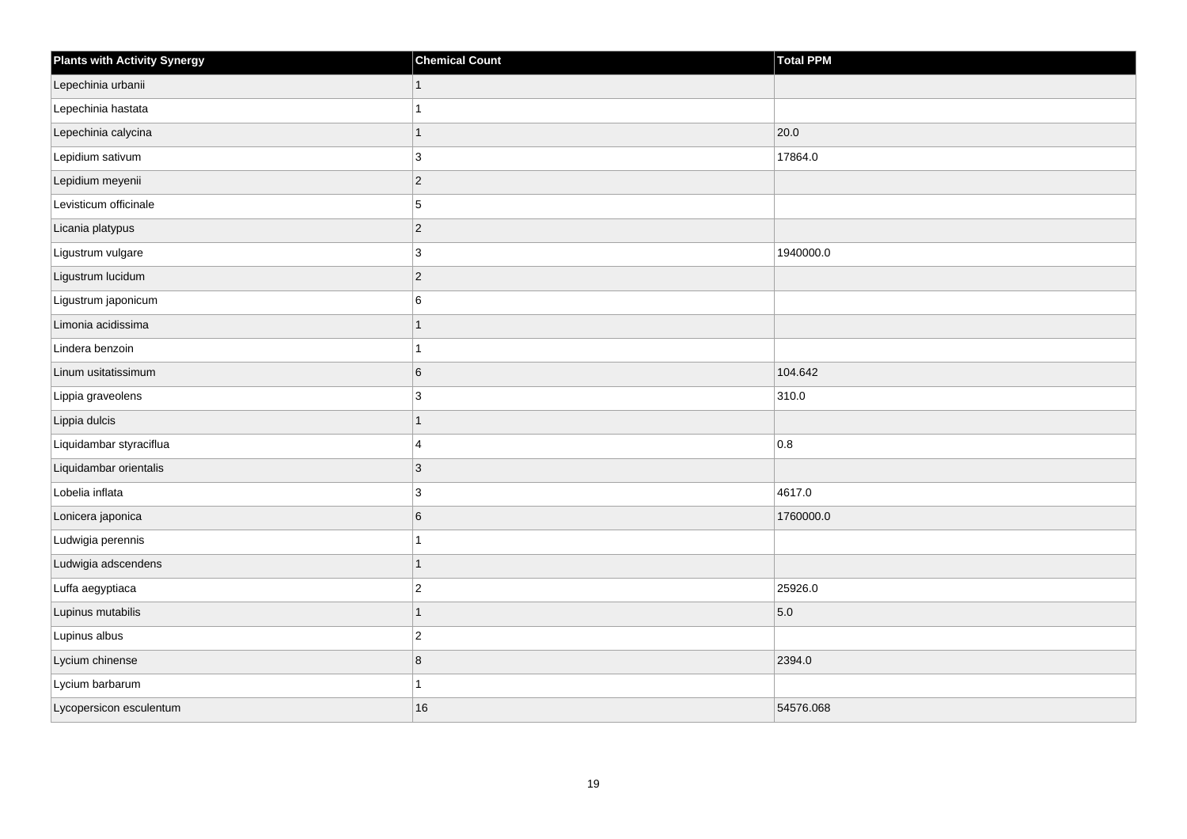| <b>Plants with Activity Synergy</b> | <b>Chemical Count</b> | Total PPM |
|-------------------------------------|-----------------------|-----------|
| Lepechinia urbanii                  |                       |           |
| Lepechinia hastata                  |                       |           |
| Lepechinia calycina                 | 1                     | 20.0      |
| Lepidium sativum                    | 3                     | 17864.0   |
| Lepidium meyenii                    | $\overline{2}$        |           |
| Levisticum officinale               | 5                     |           |
| Licania platypus                    | $\overline{2}$        |           |
| Ligustrum vulgare                   | 3                     | 1940000.0 |
| Ligustrum lucidum                   | $\overline{2}$        |           |
| Ligustrum japonicum                 | 6                     |           |
| Limonia acidissima                  |                       |           |
| Lindera benzoin                     |                       |           |
| Linum usitatissimum                 | 6                     | 104.642   |
| Lippia graveolens                   | 3                     | 310.0     |
| Lippia dulcis                       | 1                     |           |
| Liquidambar styraciflua             | 4                     | 0.8       |
| Liquidambar orientalis              | 3                     |           |
| Lobelia inflata                     | 3                     | 4617.0    |
| Lonicera japonica                   | 6                     | 1760000.0 |
| Ludwigia perennis                   |                       |           |
| Ludwigia adscendens                 | 1                     |           |
| Luffa aegyptiaca                    | $\overline{2}$        | 25926.0   |
| Lupinus mutabilis                   |                       | 5.0       |
| Lupinus albus                       | $\overline{2}$        |           |
| Lycium chinense                     | 8                     | 2394.0    |
| Lycium barbarum                     |                       |           |
| Lycopersicon esculentum             | 16                    | 54576.068 |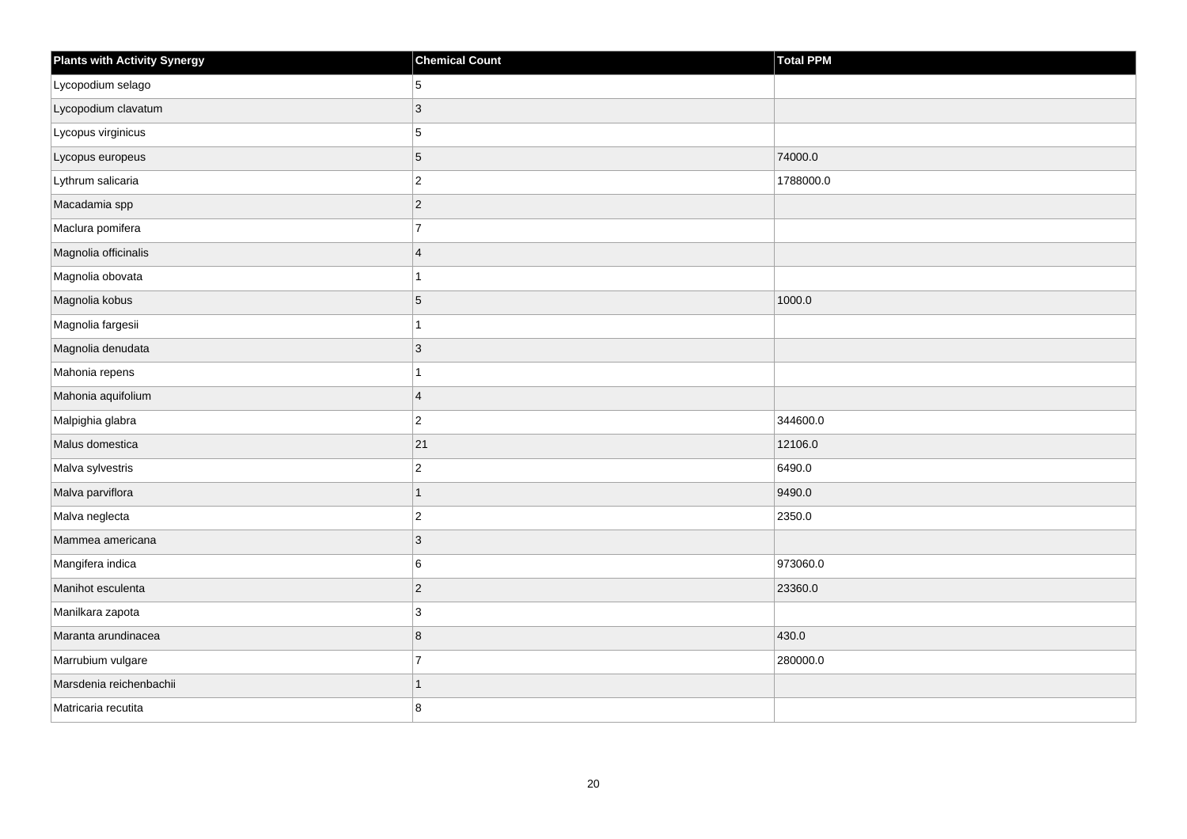| <b>Plants with Activity Synergy</b> | <b>Chemical Count</b>   | <b>Total PPM</b> |
|-------------------------------------|-------------------------|------------------|
| Lycopodium selago                   | 5                       |                  |
| Lycopodium clavatum                 | 3                       |                  |
| Lycopus virginicus                  | 5                       |                  |
| Lycopus europeus                    | 5                       | 74000.0          |
| Lythrum salicaria                   | $\overline{2}$          | 1788000.0        |
| Macadamia spp                       | $\overline{2}$          |                  |
| Maclura pomifera                    | $\overline{7}$          |                  |
| Magnolia officinalis                | $\overline{\mathbf{A}}$ |                  |
| Magnolia obovata                    |                         |                  |
| Magnolia kobus                      | 5                       | 1000.0           |
| Magnolia fargesii                   |                         |                  |
| Magnolia denudata                   | 3                       |                  |
| Mahonia repens                      |                         |                  |
| Mahonia aquifolium                  | $\overline{4}$          |                  |
| Malpighia glabra                    | $\overline{c}$          | 344600.0         |
| Malus domestica                     | 21                      | 12106.0          |
| Malva sylvestris                    | $\overline{c}$          | 6490.0           |
| Malva parviflora                    | 1                       | 9490.0           |
| Malva neglecta                      | $\overline{2}$          | 2350.0           |
| Mammea americana                    | 3                       |                  |
| Mangifera indica                    | 6                       | 973060.0         |
| Manihot esculenta                   | $\overline{c}$          | 23360.0          |
| Manilkara zapota                    | 3                       |                  |
| Maranta arundinacea                 | 8                       | 430.0            |
| Marrubium vulgare                   | $\overline{7}$          | 280000.0         |
| Marsdenia reichenbachii             | 1                       |                  |
| Matricaria recutita                 | 8                       |                  |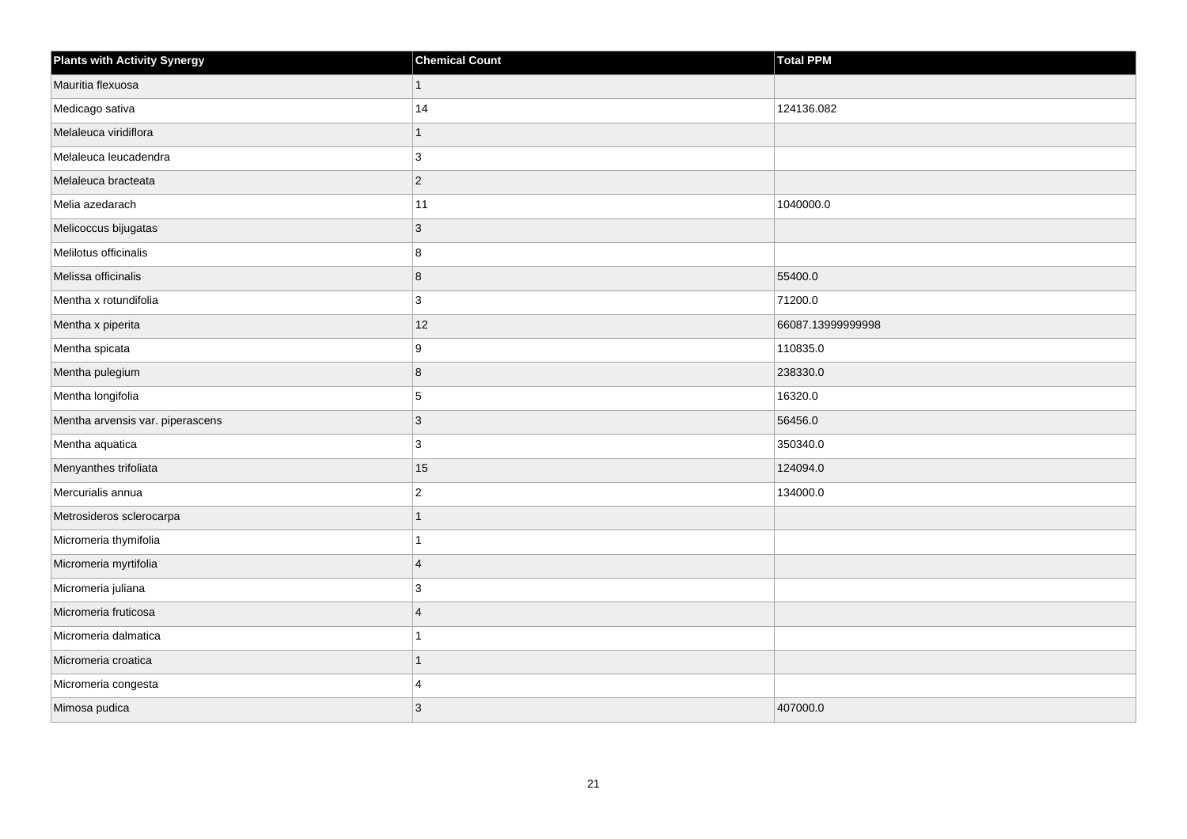| <b>Plants with Activity Synergy</b> | <b>Chemical Count</b>   | <b>Total PPM</b>  |
|-------------------------------------|-------------------------|-------------------|
| Mauritia flexuosa                   | 1                       |                   |
| Medicago sativa                     | 14                      | 124136.082        |
| Melaleuca viridiflora               |                         |                   |
| Melaleuca leucadendra               | 3                       |                   |
| Melaleuca bracteata                 | $\overline{2}$          |                   |
| Melia azedarach                     | 11                      | 1040000.0         |
| Melicoccus bijugatas                | 3                       |                   |
| Melilotus officinalis               | 8                       |                   |
| Melissa officinalis                 | 8                       | 55400.0           |
| Mentha x rotundifolia               | 3                       | 71200.0           |
| Mentha x piperita                   | 12                      | 66087.13999999998 |
| Mentha spicata                      | 9                       | 110835.0          |
| Mentha pulegium                     | 8                       | 238330.0          |
| Mentha longifolia                   | 5                       | 16320.0           |
| Mentha arvensis var. piperascens    | $\mathbf{3}$            | 56456.0           |
| Mentha aquatica                     | 3                       | 350340.0          |
| Menyanthes trifoliata               | 15                      | 124094.0          |
| Mercurialis annua                   | $\mathbf{2}$            | 134000.0          |
| Metrosideros sclerocarpa            | 1                       |                   |
| Micromeria thymifolia               |                         |                   |
| Micromeria myrtifolia               | $\overline{\mathbf{4}}$ |                   |
| Micromeria juliana                  | 3                       |                   |
| Micromeria fruticosa                | $\boldsymbol{\Delta}$   |                   |
| Micromeria dalmatica                |                         |                   |
| Micromeria croatica                 | 1                       |                   |
| Micromeria congesta                 | 4                       |                   |
| Mimosa pudica                       | 3                       | 407000.0          |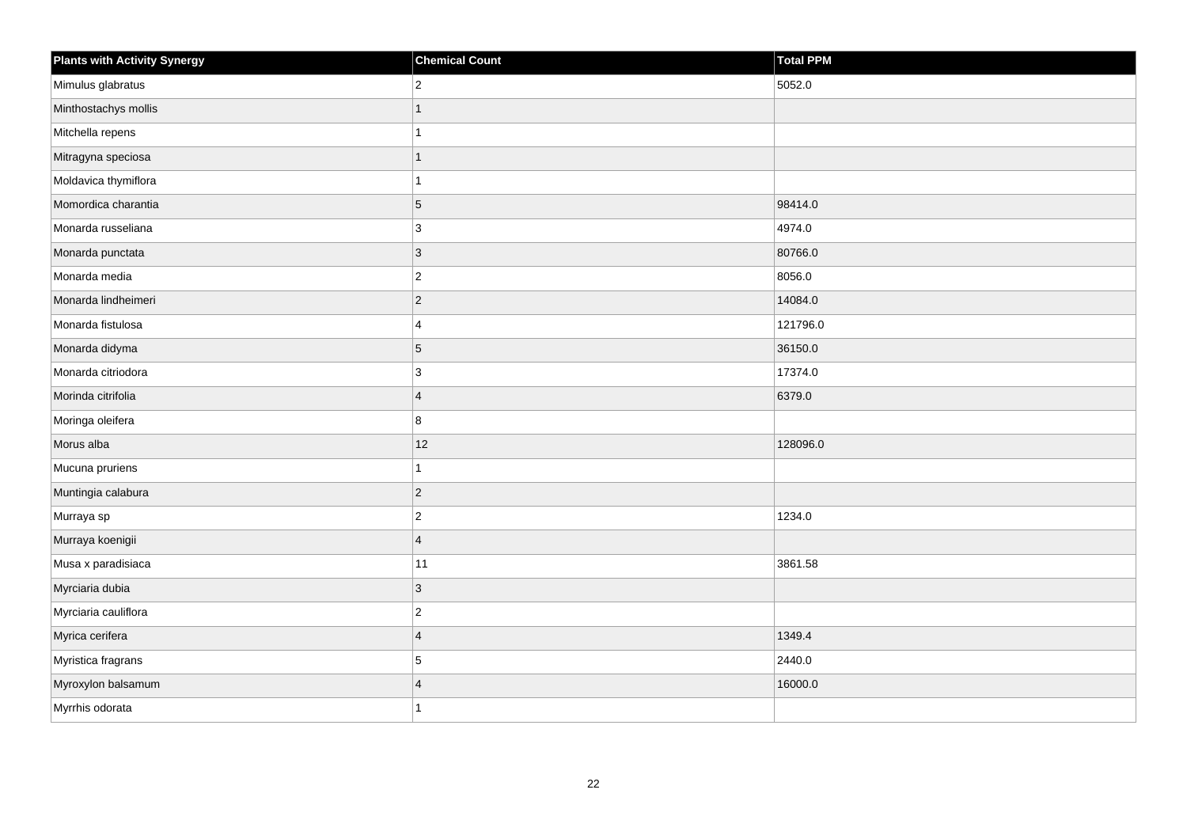| <b>Plants with Activity Synergy</b> | <b>Chemical Count</b> | Total PPM |
|-------------------------------------|-----------------------|-----------|
| Mimulus glabratus                   | $\overline{2}$        | 5052.0    |
| Minthostachys mollis                | 1                     |           |
| Mitchella repens                    |                       |           |
| Mitragyna speciosa                  | 1                     |           |
| Moldavica thymiflora                |                       |           |
| Momordica charantia                 | 5                     | 98414.0   |
| Monarda russeliana                  | 3                     | 4974.0    |
| Monarda punctata                    | 3                     | 80766.0   |
| Monarda media                       | $\overline{c}$        | 8056.0    |
| Monarda lindheimeri                 | $\overline{c}$        | 14084.0   |
| Monarda fistulosa                   | 4                     | 121796.0  |
| Monarda didyma                      | 5                     | 36150.0   |
| Monarda citriodora                  | 3                     | 17374.0   |
| Morinda citrifolia                  | $\overline{4}$        | 6379.0    |
| Moringa oleifera                    | 8                     |           |
| Morus alba                          | 12                    | 128096.0  |
| Mucuna pruriens                     |                       |           |
| Muntingia calabura                  | $\overline{2}$        |           |
| Murraya sp                          | $\overline{2}$        | 1234.0    |
| Murraya koenigii                    | $\overline{4}$        |           |
| Musa x paradisiaca                  | 11                    | 3861.58   |
| Myrciaria dubia                     | 3                     |           |
| Myrciaria cauliflora                | $\overline{2}$        |           |
| Myrica cerifera                     | $\overline{4}$        | 1349.4    |
| Myristica fragrans                  | 5                     | 2440.0    |
| Myroxylon balsamum                  | $\overline{4}$        | 16000.0   |
| Myrrhis odorata                     |                       |           |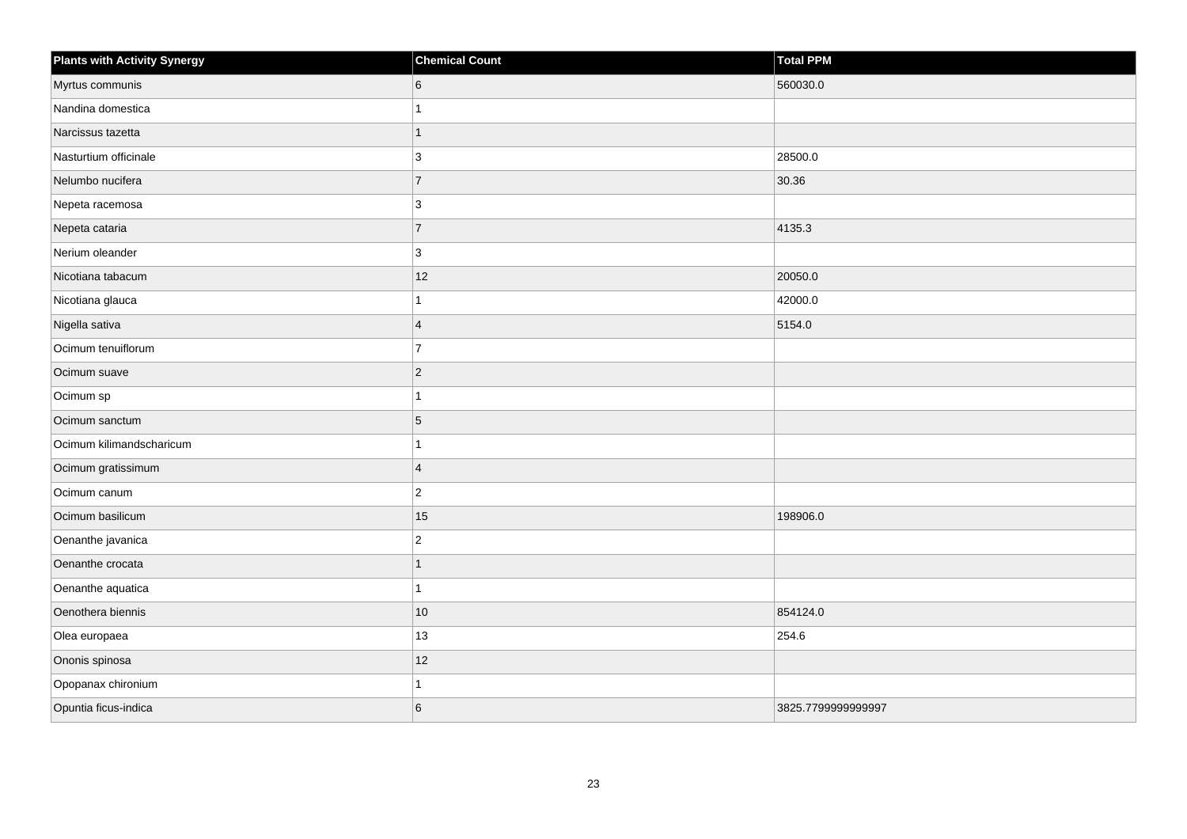| <b>Plants with Activity Synergy</b> | <b>Chemical Count</b> | Total PPM          |
|-------------------------------------|-----------------------|--------------------|
| Myrtus communis                     | 6                     | 560030.0           |
| Nandina domestica                   |                       |                    |
| Narcissus tazetta                   | 1                     |                    |
| Nasturtium officinale               | 3                     | 28500.0            |
| Nelumbo nucifera                    | $\overline{7}$        | 30.36              |
| Nepeta racemosa                     | 3                     |                    |
| Nepeta cataria                      | $\overline{7}$        | 4135.3             |
| Nerium oleander                     | 3                     |                    |
| Nicotiana tabacum                   | 12                    | 20050.0            |
| Nicotiana glauca                    |                       | 42000.0            |
| Nigella sativa                      | $\boldsymbol{\Delta}$ | 5154.0             |
| Ocimum tenuiflorum                  | $\overline{7}$        |                    |
| Ocimum suave                        | $\overline{2}$        |                    |
| Ocimum sp                           |                       |                    |
| Ocimum sanctum                      | 5                     |                    |
| Ocimum kilimandscharicum            |                       |                    |
| Ocimum gratissimum                  | $\overline{4}$        |                    |
| Ocimum canum                        | $\overline{c}$        |                    |
| Ocimum basilicum                    | 15                    | 198906.0           |
| Oenanthe javanica                   | $\overline{2}$        |                    |
| Oenanthe crocata                    |                       |                    |
| Oenanthe aquatica                   |                       |                    |
| Oenothera biennis                   | $10$                  | 854124.0           |
| Olea europaea                       | $13$                  | 254.6              |
| Ononis spinosa                      | 12                    |                    |
| Opopanax chironium                  |                       |                    |
| Opuntia ficus-indica                | 6                     | 3825.7799999999997 |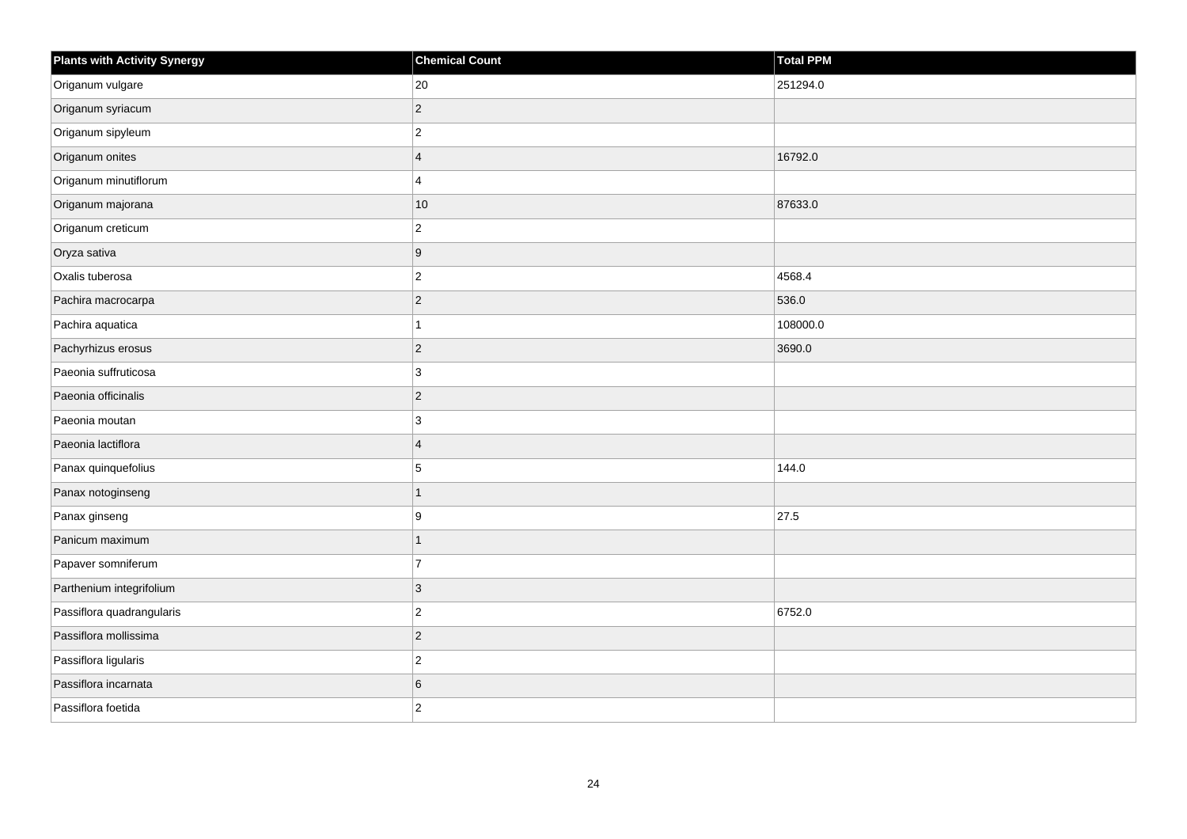| Plants with Activity Synergy | <b>Chemical Count</b> | Total PPM |
|------------------------------|-----------------------|-----------|
| Origanum vulgare             | 20                    | 251294.0  |
| Origanum syriacum            | $\overline{2}$        |           |
| Origanum sipyleum            | $\mathbf 2$           |           |
| Origanum onites              | $\overline{4}$        | 16792.0   |
| Origanum minutiflorum        | $\overline{4}$        |           |
| Origanum majorana            | 10                    | 87633.0   |
| Origanum creticum            | $\overline{c}$        |           |
| Oryza sativa                 | $\boldsymbol{9}$      |           |
| Oxalis tuberosa              | $\mathbf 2$           | 4568.4    |
| Pachira macrocarpa           | $\vert$ 2             | 536.0     |
| Pachira aquatica             | $\mathbf{1}$          | 108000.0  |
| Pachyrhizus erosus           | $\vert$ 2             | 3690.0    |
| Paeonia suffruticosa         | 3                     |           |
| Paeonia officinalis          | $\mathbf 2$           |           |
| Paeonia moutan               | $\mathbf{3}$          |           |
| Paeonia lactiflora           | $\overline{4}$        |           |
| Panax quinquefolius          | 5                     | 144.0     |
| Panax notoginseng            | $\mathbf{1}$          |           |
| Panax ginseng                | 9                     | 27.5      |
| Panicum maximum              | $\mathbf{1}$          |           |
| Papaver somniferum           | $\overline{7}$        |           |
| Parthenium integrifolium     | $\mathbf{3}$          |           |
| Passiflora quadrangularis    | $\mathbf 2$           | 6752.0    |
| Passiflora mollissima        | $\vert$ 2             |           |
| Passiflora ligularis         | $\overline{c}$        |           |
| Passiflora incarnata         | $\,6\,$               |           |
| Passiflora foetida           | $\overline{2}$        |           |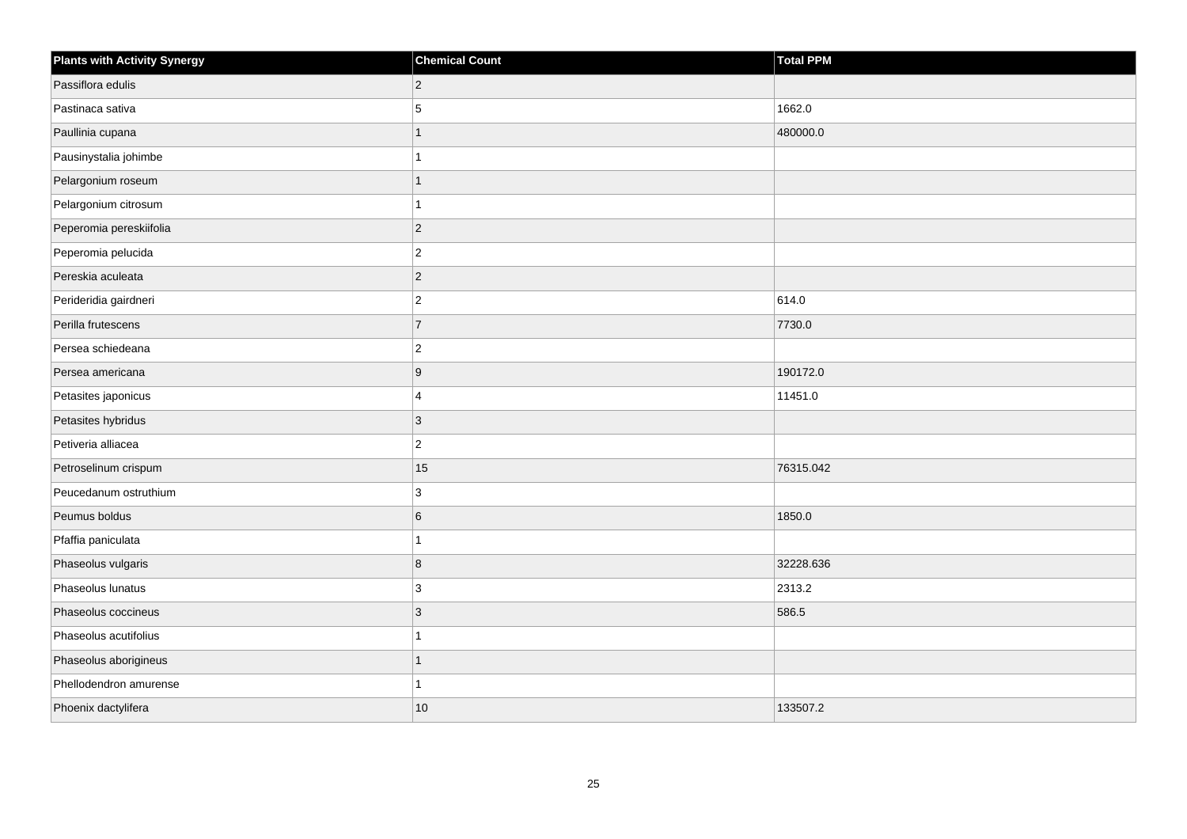| <b>Plants with Activity Synergy</b> | <b>Chemical Count</b> | Total PPM |
|-------------------------------------|-----------------------|-----------|
| Passiflora edulis                   | $\overline{2}$        |           |
| Pastinaca sativa                    | 5                     | 1662.0    |
| Paullinia cupana                    | 1                     | 480000.0  |
| Pausinystalia johimbe               |                       |           |
| Pelargonium roseum                  | 1                     |           |
| Pelargonium citrosum                | 1                     |           |
| Peperomia pereskiifolia             | $\overline{c}$        |           |
| Peperomia pelucida                  | $\overline{2}$        |           |
| Pereskia aculeata                   | $\overline{c}$        |           |
| Perideridia gairdneri               | $\overline{2}$        | 614.0     |
| Perilla frutescens                  | $\overline{7}$        | 7730.0    |
| Persea schiedeana                   | $\overline{c}$        |           |
| Persea americana                    | 9                     | 190172.0  |
| Petasites japonicus                 | $\overline{4}$        | 11451.0   |
| Petasites hybridus                  | $\mathbf{3}$          |           |
| Petiveria alliacea                  | $\overline{2}$        |           |
| Petroselinum crispum                | 15                    | 76315.042 |
| Peucedanum ostruthium               | 3                     |           |
| Peumus boldus                       | 6                     | 1850.0    |
| Pfaffia paniculata                  | 1                     |           |
| Phaseolus vulgaris                  | 8                     | 32228.636 |
| Phaseolus lunatus                   | 3                     | 2313.2    |
| Phaseolus coccineus                 | 3                     | 586.5     |
| Phaseolus acutifolius               | 1                     |           |
| Phaseolus aborigineus               | $\overline{1}$        |           |
| Phellodendron amurense              | 1                     |           |
| Phoenix dactylifera                 | 10                    | 133507.2  |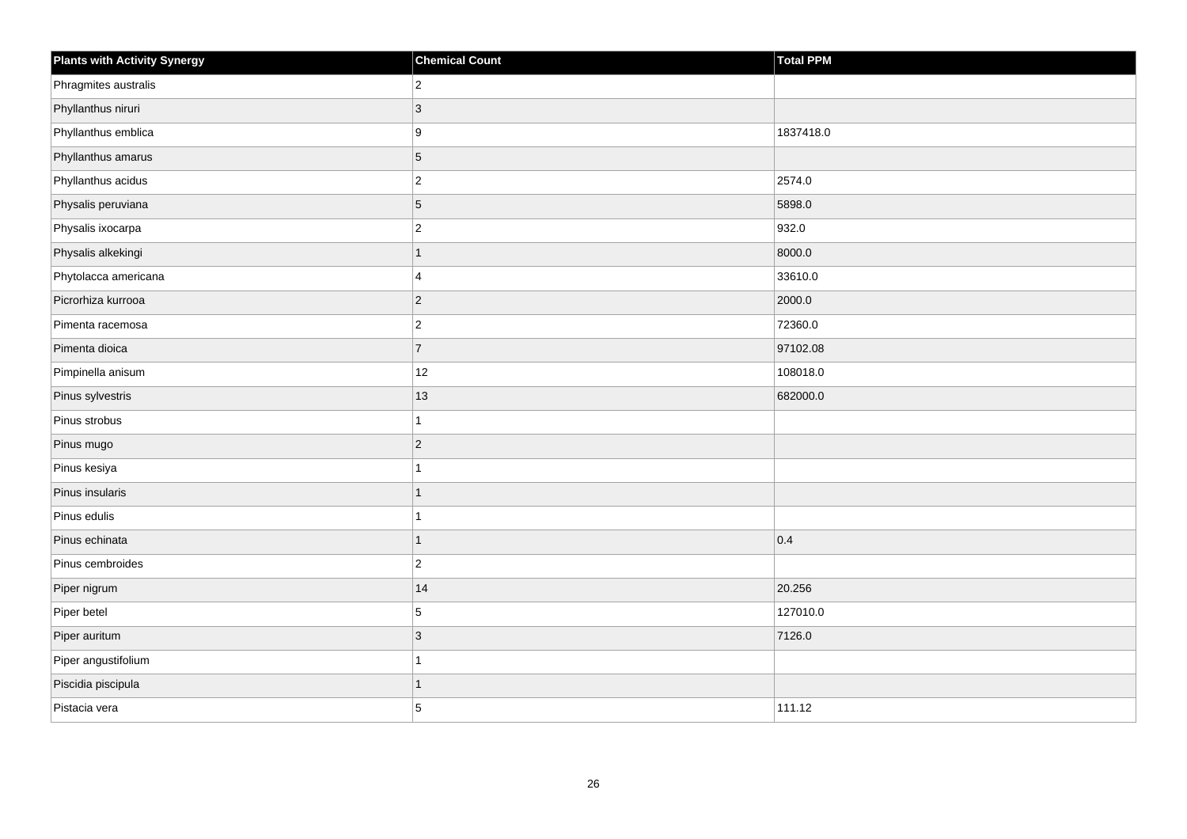| <b>Plants with Activity Synergy</b> | <b>Chemical Count</b> | Total PPM |
|-------------------------------------|-----------------------|-----------|
| Phragmites australis                | $\boldsymbol{2}$      |           |
| Phyllanthus niruri                  | $\mathbf{3}$          |           |
| Phyllanthus emblica                 | $\boldsymbol{9}$      | 1837418.0 |
| Phyllanthus amarus                  | $\overline{5}$        |           |
| Phyllanthus acidus                  | $\boldsymbol{2}$      | 2574.0    |
| Physalis peruviana                  | $\sqrt{5}$            | 5898.0    |
| Physalis ixocarpa                   | $\overline{c}$        | 932.0     |
| Physalis alkekingi                  | $\mathbf 1$           | 8000.0    |
| Phytolacca americana                | $\overline{4}$        | 33610.0   |
| Picrorhiza kurrooa                  | $\overline{c}$        | 2000.0    |
| Pimenta racemosa                    | $\boldsymbol{2}$      | 72360.0   |
| Pimenta dioica                      | $\overline{7}$        | 97102.08  |
| Pimpinella anisum                   | 12                    | 108018.0  |
| Pinus sylvestris                    | 13                    | 682000.0  |
| Pinus strobus                       | $\overline{1}$        |           |
| Pinus mugo                          | $\overline{c}$        |           |
| Pinus kesiya                        | 1                     |           |
| Pinus insularis                     | $\mathbf{1}$          |           |
| Pinus edulis                        | 1                     |           |
| Pinus echinata                      | $\overline{1}$        | 0.4       |
| Pinus cembroides                    | $\boldsymbol{2}$      |           |
| Piper nigrum                        | 14                    | 20.256    |
| Piper betel                         | $\sqrt{5}$            | 127010.0  |
| Piper auritum                       | $\overline{3}$        | 7126.0    |
| Piper angustifolium                 | 1                     |           |
| Piscidia piscipula                  | $\mathbf 1$           |           |
| Pistacia vera                       | $\overline{5}$        | 111.12    |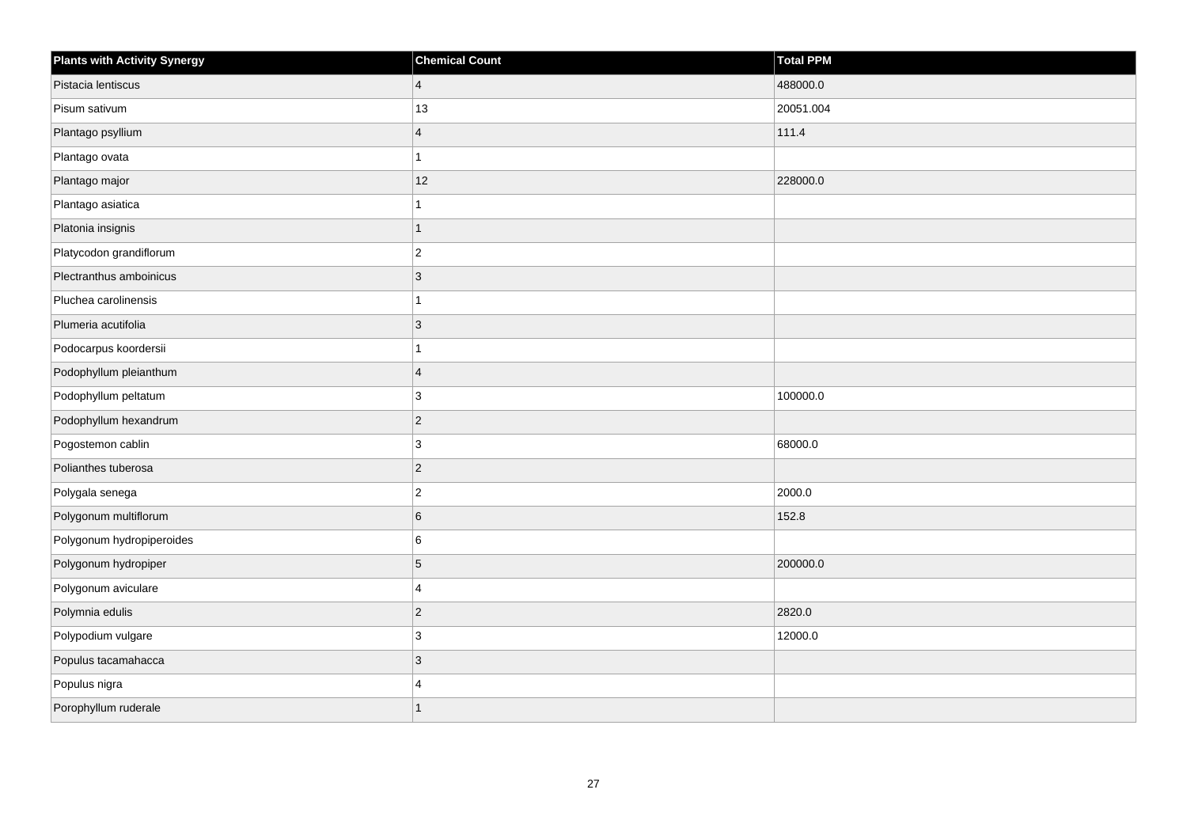| <b>Plants with Activity Synergy</b> | <b>Chemical Count</b> | <b>Total PPM</b> |
|-------------------------------------|-----------------------|------------------|
| Pistacia lentiscus                  | $\overline{4}$        | 488000.0         |
| Pisum sativum                       | 13                    | 20051.004        |
| Plantago psyllium                   | $\overline{4}$        | 111.4            |
| Plantago ovata                      | 1                     |                  |
| Plantago major                      | 12                    | 228000.0         |
| Plantago asiatica                   | 1                     |                  |
| Platonia insignis                   | $\mathbf{1}$          |                  |
| Platycodon grandiflorum             | $\overline{2}$        |                  |
| Plectranthus amboinicus             | 3                     |                  |
| Pluchea carolinensis                | 1                     |                  |
| Plumeria acutifolia                 | 3                     |                  |
| Podocarpus koordersii               | 1                     |                  |
| Podophyllum pleianthum              | $\overline{4}$        |                  |
| Podophyllum peltatum                | 3                     | 100000.0         |
| Podophyllum hexandrum               | $\overline{c}$        |                  |
| Pogostemon cablin                   | 3                     | 68000.0          |
| Polianthes tuberosa                 | $\overline{c}$        |                  |
| Polygala senega                     | $\overline{c}$        | 2000.0           |
| Polygonum multiflorum               | 6                     | 152.8            |
| Polygonum hydropiperoides           | 6                     |                  |
| Polygonum hydropiper                | 5                     | 200000.0         |
| Polygonum aviculare                 | 4                     |                  |
| Polymnia edulis                     | $\overline{c}$        | 2820.0           |
| Polypodium vulgare                  | 3                     | 12000.0          |
| Populus tacamahacca                 | $\mathbf{3}$          |                  |
| Populus nigra                       | Δ                     |                  |
| Porophyllum ruderale                | $\overline{1}$        |                  |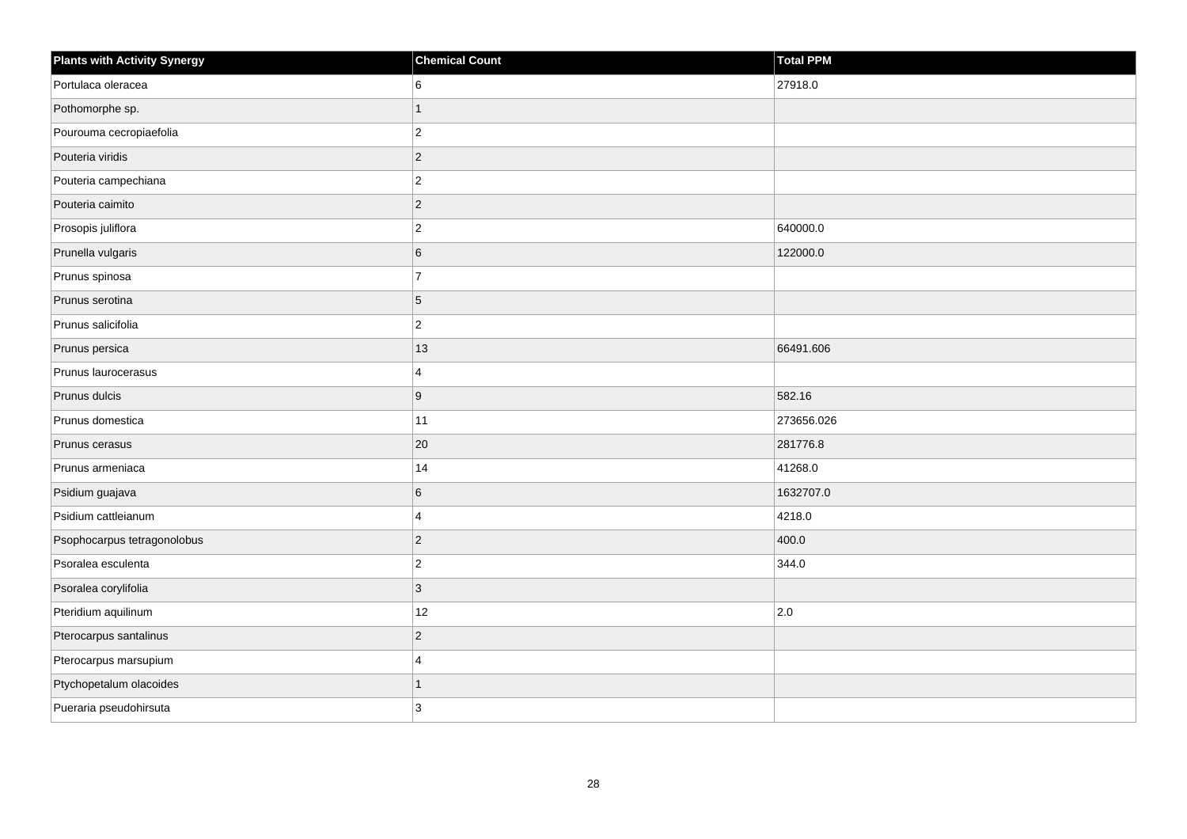| <b>Plants with Activity Synergy</b> | <b>Chemical Count</b> | Total PPM  |
|-------------------------------------|-----------------------|------------|
| Portulaca oleracea                  | 6                     | 27918.0    |
| Pothomorphe sp.                     | 1                     |            |
| Pourouma cecropiaefolia             | $\overline{c}$        |            |
| Pouteria viridis                    | $\overline{2}$        |            |
| Pouteria campechiana                | $\overline{c}$        |            |
| Pouteria caimito                    | $\overline{2}$        |            |
| Prosopis juliflora                  | $\overline{a}$        | 640000.0   |
| Prunella vulgaris                   | 6                     | 122000.0   |
| Prunus spinosa                      | $\overline{7}$        |            |
| Prunus serotina                     | 5                     |            |
| Prunus salicifolia                  | $\overline{c}$        |            |
| Prunus persica                      | 13                    | 66491.606  |
| Prunus laurocerasus                 | 4                     |            |
| Prunus dulcis                       | 9                     | 582.16     |
| Prunus domestica                    | 11                    | 273656.026 |
| Prunus cerasus                      | 20                    | 281776.8   |
| Prunus armeniaca                    | 14                    | 41268.0    |
| Psidium guajava                     | 6                     | 1632707.0  |
| Psidium cattleianum                 | 4                     | 4218.0     |
| Psophocarpus tetragonolobus         | $\overline{2}$        | 400.0      |
| Psoralea esculenta                  | $\overline{2}$        | 344.0      |
| Psoralea corylifolia                | 3                     |            |
| Pteridium aquilinum                 | 12                    | 2.0        |
| Pterocarpus santalinus              | $\overline{2}$        |            |
| Pterocarpus marsupium               | 4                     |            |
| Ptychopetalum olacoides             | 1                     |            |
| Pueraria pseudohirsuta              | 3                     |            |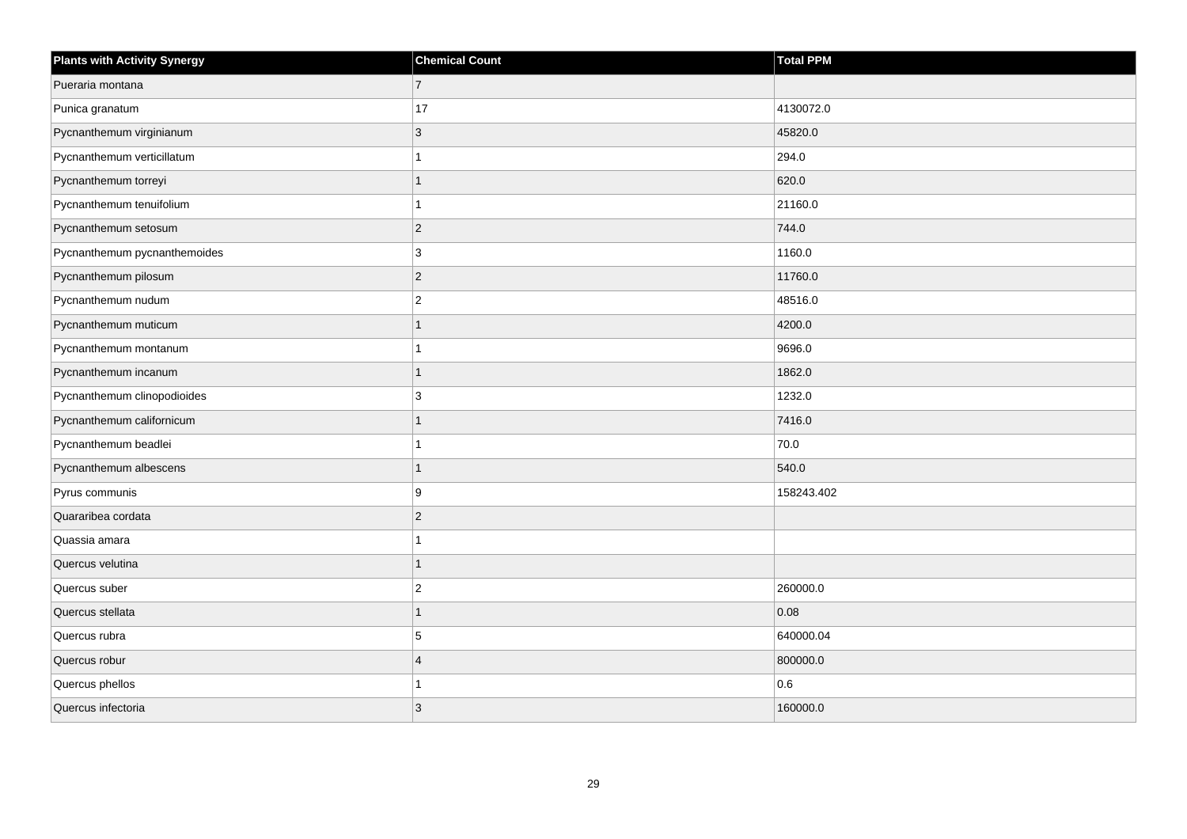| <b>Plants with Activity Synergy</b> | <b>Chemical Count</b> | <b>Total PPM</b> |
|-------------------------------------|-----------------------|------------------|
| Pueraria montana                    | $\overline{7}$        |                  |
| Punica granatum                     | 17                    | 4130072.0        |
| Pycnanthemum virginianum            | 3                     | 45820.0          |
| Pycnanthemum verticillatum          |                       | 294.0            |
| Pycnanthemum torreyi                |                       | 620.0            |
| Pycnanthemum tenuifolium            |                       | 21160.0          |
| Pycnanthemum setosum                | $\overline{2}$        | 744.0            |
| Pycnanthemum pycnanthemoides        | 3                     | 1160.0           |
| Pycnanthemum pilosum                | $\overline{c}$        | 11760.0          |
| Pycnanthemum nudum                  | $\overline{2}$        | 48516.0          |
| Pycnanthemum muticum                |                       | 4200.0           |
| Pycnanthemum montanum               |                       | 9696.0           |
| Pycnanthemum incanum                | 1                     | 1862.0           |
| Pycnanthemum clinopodioides         | 3                     | 1232.0           |
| Pycnanthemum californicum           |                       | 7416.0           |
| Pycnanthemum beadlei                |                       | 70.0             |
| Pycnanthemum albescens              |                       | 540.0            |
| Pyrus communis                      | 9                     | 158243.402       |
| Quararibea cordata                  | $\overline{2}$        |                  |
| Quassia amara                       |                       |                  |
| Quercus velutina                    |                       |                  |
| Quercus suber                       | $\overline{2}$        | 260000.0         |
| Quercus stellata                    |                       | 0.08             |
| Quercus rubra                       | 5                     | 640000.04        |
| Quercus robur                       | $\overline{4}$        | 800000.0         |
| Quercus phellos                     |                       | 0.6              |
| Quercus infectoria                  | 3                     | 160000.0         |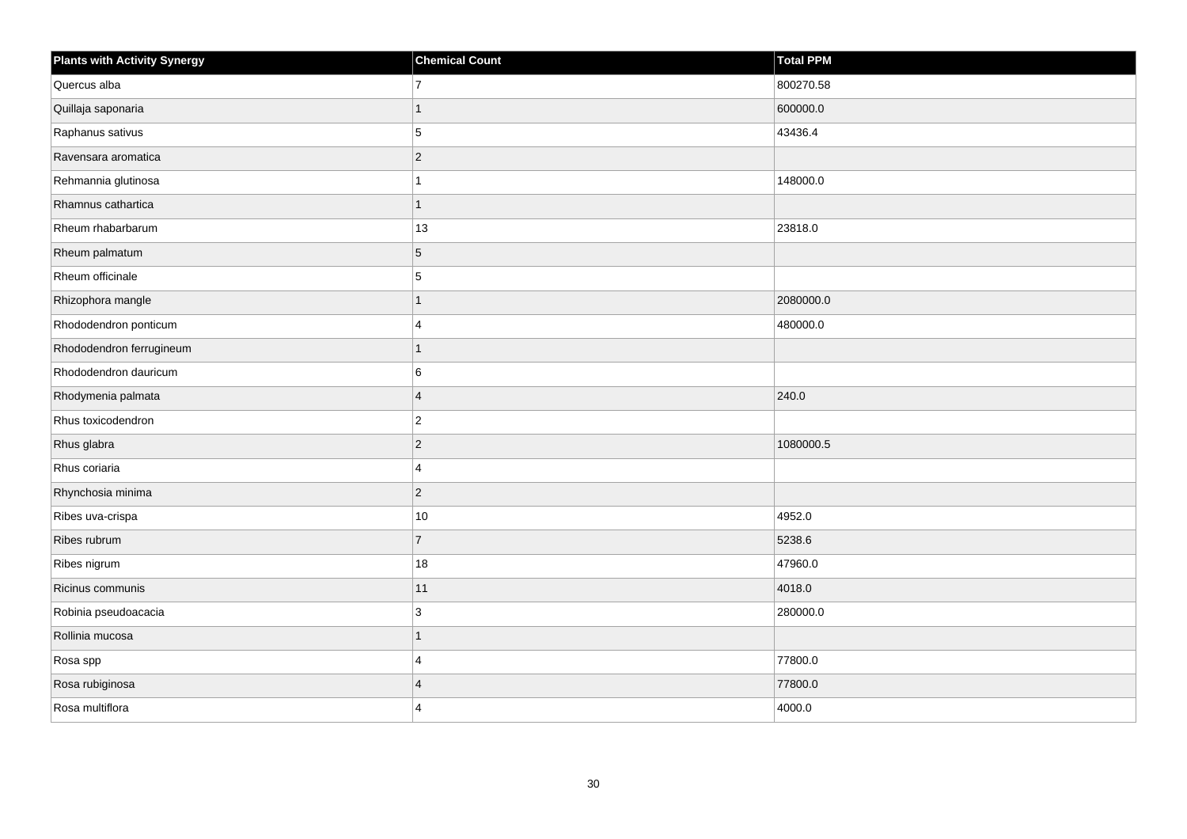| <b>Plants with Activity Synergy</b> | <b>Chemical Count</b> | <b>Total PPM</b> |
|-------------------------------------|-----------------------|------------------|
| Quercus alba                        | $\overline{7}$        | 800270.58        |
| Quillaja saponaria                  | 1                     | 600000.0         |
| Raphanus sativus                    | 5                     | 43436.4          |
| Ravensara aromatica                 | $\overline{c}$        |                  |
| Rehmannia glutinosa                 |                       | 148000.0         |
| Rhamnus cathartica                  | $\mathbf{1}$          |                  |
| Rheum rhabarbarum                   | 13                    | 23818.0          |
| Rheum palmatum                      | 5                     |                  |
| Rheum officinale                    | 5                     |                  |
| Rhizophora mangle                   | $\overline{1}$        | 2080000.0        |
| Rhododendron ponticum               | 4                     | 480000.0         |
| Rhododendron ferrugineum            | $\overline{1}$        |                  |
| Rhododendron dauricum               | 6                     |                  |
| Rhodymenia palmata                  | $\overline{4}$        | 240.0            |
| Rhus toxicodendron                  | $\overline{2}$        |                  |
| Rhus glabra                         | $\overline{c}$        | 1080000.5        |
| Rhus coriaria                       | $\overline{4}$        |                  |
| Rhynchosia minima                   | $\overline{c}$        |                  |
| Ribes uva-crispa                    | $10$                  | 4952.0           |
| Ribes rubrum                        | $\overline{7}$        | 5238.6           |
| Ribes nigrum                        | 18                    | 47960.0          |
| Ricinus communis                    | 11                    | 4018.0           |
| Robinia pseudoacacia                | 3                     | 280000.0         |
| Rollinia mucosa                     | $\overline{1}$        |                  |
| Rosa spp                            | 4                     | 77800.0          |
| Rosa rubiginosa                     | $\overline{4}$        | 77800.0          |
| Rosa multiflora                     | 4                     | 4000.0           |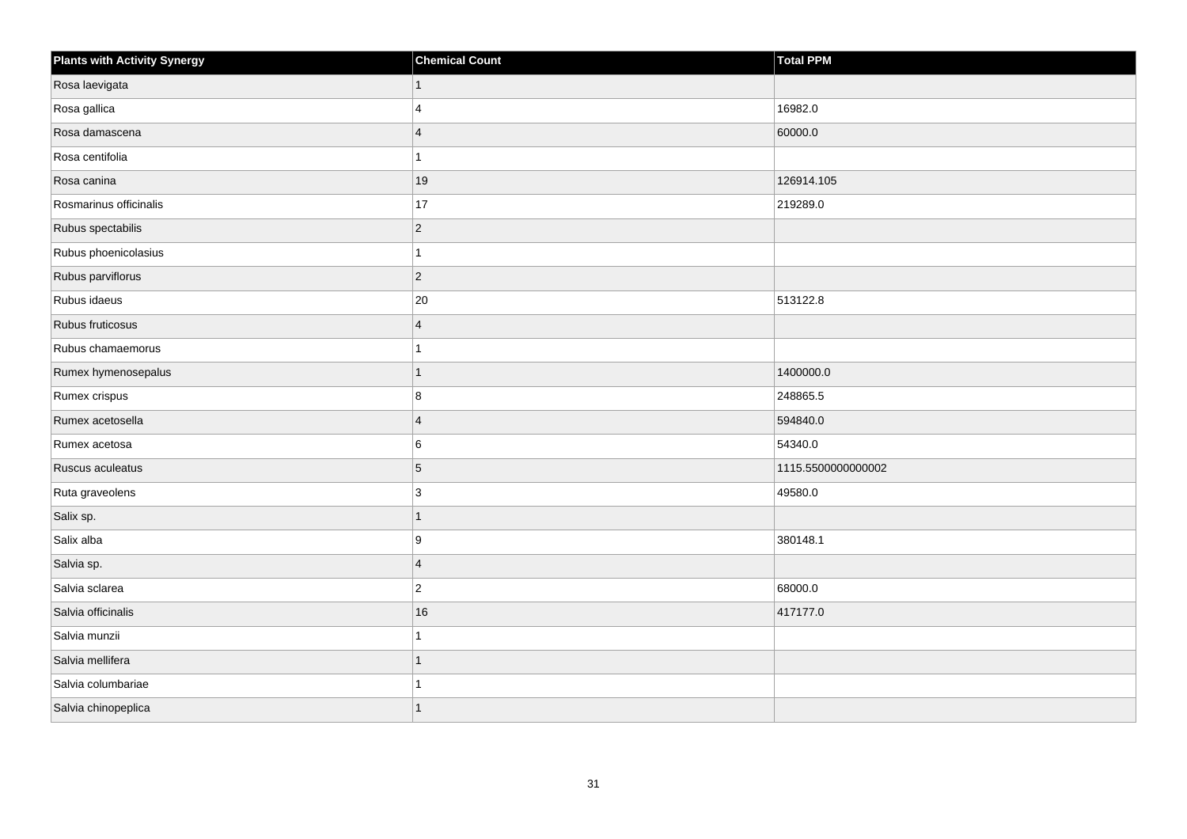| <b>Plants with Activity Synergy</b> | <b>Chemical Count</b> | Total PPM          |
|-------------------------------------|-----------------------|--------------------|
| Rosa laevigata                      | $\mathbf{1}$          |                    |
| Rosa gallica                        | 4                     | 16982.0            |
| Rosa damascena                      | $\overline{4}$        | 60000.0            |
| Rosa centifolia                     |                       |                    |
| Rosa canina                         | 19                    | 126914.105         |
| Rosmarinus officinalis              | $17$                  | 219289.0           |
| Rubus spectabilis                   | $ 2\rangle$           |                    |
| Rubus phoenicolasius                |                       |                    |
| Rubus parviflorus                   | $ 2\rangle$           |                    |
| Rubus idaeus                        | 20                    | 513122.8           |
| Rubus fruticosus                    | $\overline{4}$        |                    |
| Rubus chamaemorus                   |                       |                    |
| Rumex hymenosepalus                 | $\mathbf{1}$          | 1400000.0          |
| Rumex crispus                       | 8                     | 248865.5           |
| Rumex acetosella                    | $\overline{4}$        | 594840.0           |
| Rumex acetosa                       | 6                     | 54340.0            |
| Ruscus aculeatus                    | $5\phantom{.0}$       | 1115.5500000000002 |
| Ruta graveolens                     | $\mathbf{3}$          | 49580.0            |
| Salix sp.                           | $\overline{1}$        |                    |
| Salix alba                          | 9                     | 380148.1           |
| Salvia sp.                          | $\overline{4}$        |                    |
| Salvia sclarea                      | $ 2\rangle$           | 68000.0            |
| Salvia officinalis                  | 16                    | 417177.0           |
| Salvia munzii                       |                       |                    |
| Salvia mellifera                    | $\overline{1}$        |                    |
| Salvia columbariae                  |                       |                    |
| Salvia chinopeplica                 | 1                     |                    |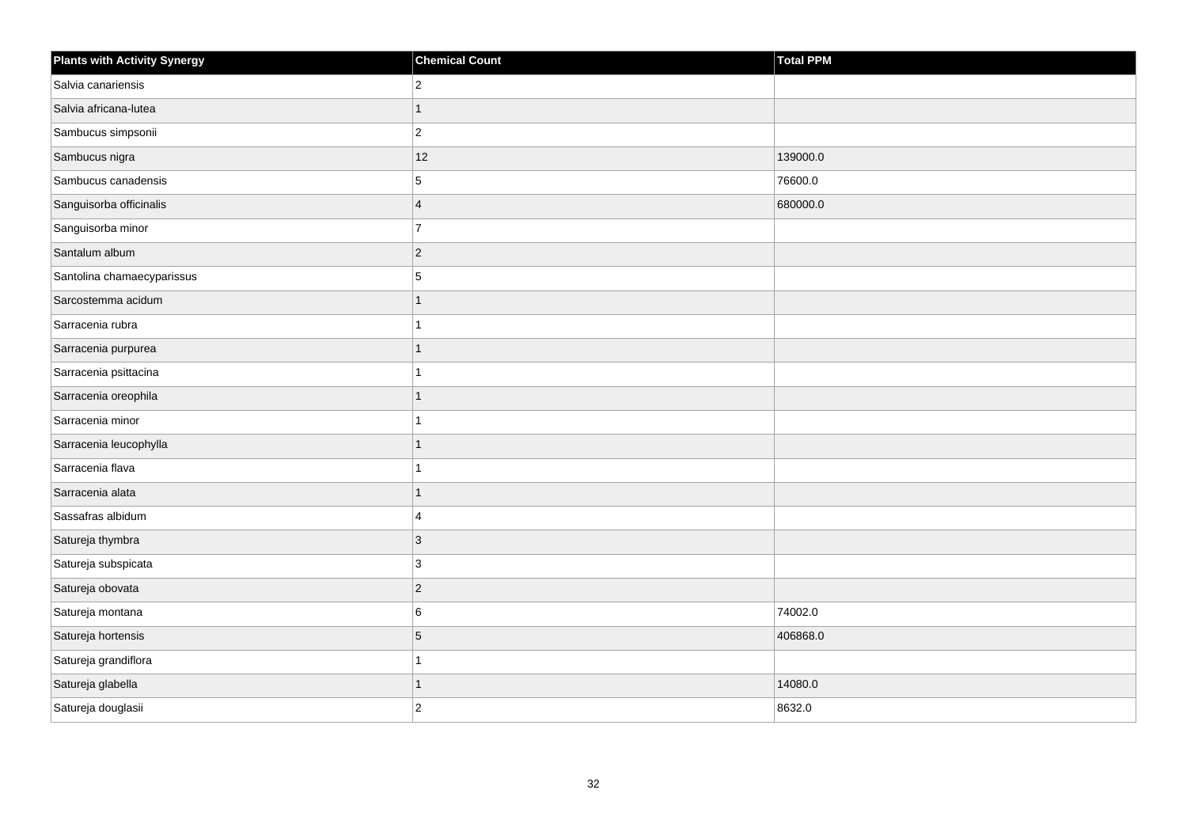| <b>Plants with Activity Synergy</b> | <b>Chemical Count</b> | <b>Total PPM</b> |
|-------------------------------------|-----------------------|------------------|
| Salvia canariensis                  | $\mathbf 2$           |                  |
| Salvia africana-lutea               | $\overline{1}$        |                  |
| Sambucus simpsonii                  | $\mathbf 2$           |                  |
| Sambucus nigra                      | 12                    | 139000.0         |
| Sambucus canadensis                 | 5                     | 76600.0          |
| Sanguisorba officinalis             | $\overline{4}$        | 680000.0         |
| Sanguisorba minor                   | $\overline{7}$        |                  |
| Santalum album                      | $\mathbf 2$           |                  |
| Santolina chamaecyparissus          | 5                     |                  |
| Sarcostemma acidum                  | $\mathbf{1}$          |                  |
| Sarracenia rubra                    | $\mathbf{1}$          |                  |
| Sarracenia purpurea                 | $\overline{1}$        |                  |
| Sarracenia psittacina               | $\mathbf{1}$          |                  |
| Sarracenia oreophila                | $\mathbf{1}$          |                  |
| Sarracenia minor                    | 1                     |                  |
| Sarracenia leucophylla              | $\mathbf{1}$          |                  |
| Sarracenia flava                    | $\mathbf{1}$          |                  |
| Sarracenia alata                    | $\overline{1}$        |                  |
| Sassafras albidum                   | $\overline{4}$        |                  |
| Satureja thymbra                    | $\mathbf{3}$          |                  |
| Satureja subspicata                 | 3                     |                  |
| Satureja obovata                    | $\vert$ 2             |                  |
| Satureja montana                    | 6                     | 74002.0          |
| Satureja hortensis                  | $\overline{5}$        | 406868.0         |
| Satureja grandiflora                | $\mathbf{1}$          |                  |
| Satureja glabella                   | $\mathbf{1}$          | 14080.0          |
| Satureja douglasii                  | $\overline{2}$        | 8632.0           |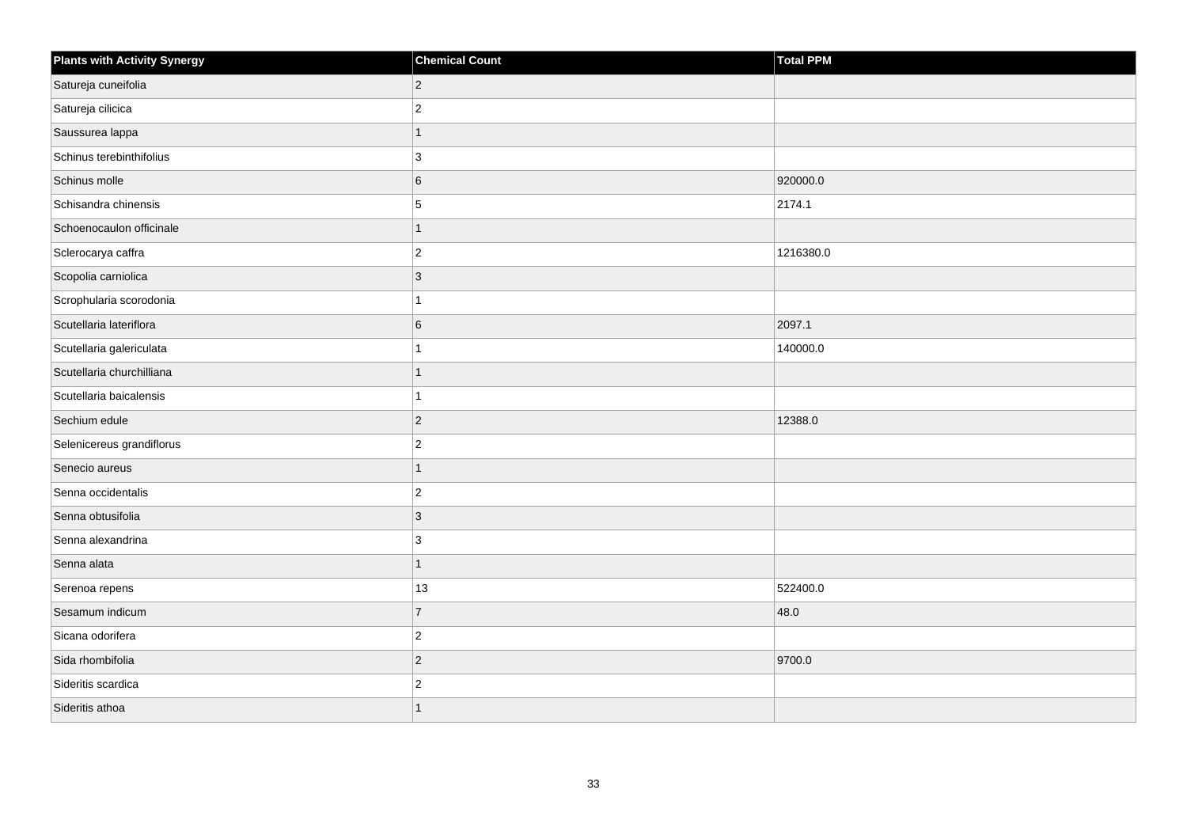| <b>Plants with Activity Synergy</b> | <b>Chemical Count</b> | <b>Total PPM</b> |
|-------------------------------------|-----------------------|------------------|
| Satureja cuneifolia                 | $\overline{2}$        |                  |
| Satureja cilicica                   | $\overline{2}$        |                  |
| Saussurea lappa                     | 1                     |                  |
| Schinus terebinthifolius            | 3                     |                  |
| Schinus molle                       | 6                     | 920000.0         |
| Schisandra chinensis                | 5                     | 2174.1           |
| Schoenocaulon officinale            | 1                     |                  |
| Sclerocarya caffra                  | $\overline{2}$        | 1216380.0        |
| Scopolia carniolica                 | $\overline{3}$        |                  |
| Scrophularia scorodonia             |                       |                  |
| Scutellaria lateriflora             | 6                     | 2097.1           |
| Scutellaria galericulata            |                       | 140000.0         |
| Scutellaria churchilliana           | 1                     |                  |
| Scutellaria baicalensis             |                       |                  |
| Sechium edule                       | $\overline{2}$        | 12388.0          |
| Selenicereus grandiflorus           | $\overline{2}$        |                  |
| Senecio aureus                      |                       |                  |
| Senna occidentalis                  | $\overline{2}$        |                  |
| Senna obtusifolia                   | $\overline{3}$        |                  |
| Senna alexandrina                   | 3                     |                  |
| Senna alata                         | 1                     |                  |
| Serenoa repens                      | 13                    | 522400.0         |
| Sesamum indicum                     | $\overline{7}$        | 48.0             |
| Sicana odorifera                    | $\overline{c}$        |                  |
| Sida rhombifolia                    | $\overline{2}$        | 9700.0           |
| Sideritis scardica                  | $\overline{c}$        |                  |
| Sideritis athoa                     |                       |                  |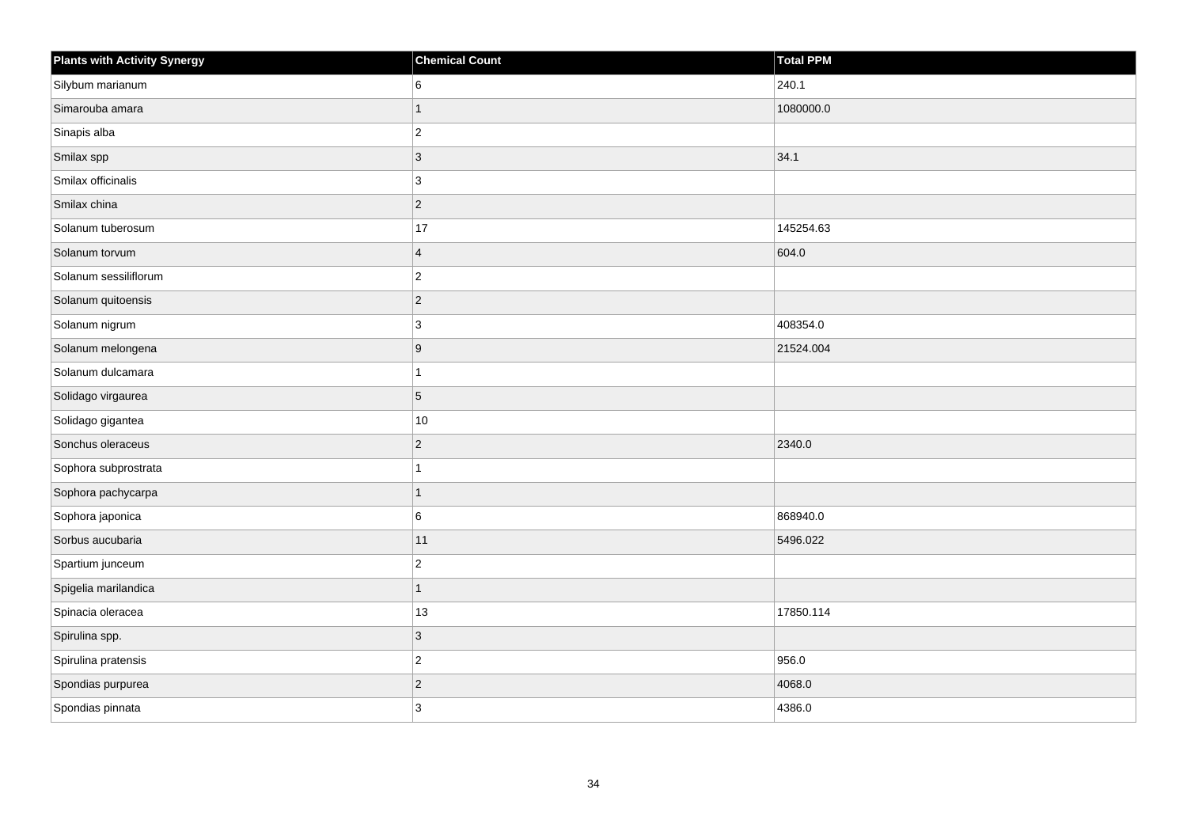| <b>Plants with Activity Synergy</b> | <b>Chemical Count</b>   | Total PPM |
|-------------------------------------|-------------------------|-----------|
| Silybum marianum                    | 6                       | 240.1     |
| Simarouba amara                     | 1                       | 1080000.0 |
| Sinapis alba                        | $ 2\rangle$             |           |
| Smilax spp                          | $ 3\rangle$             | 34.1      |
| Smilax officinalis                  | 3                       |           |
| Smilax china                        | $ 2\rangle$             |           |
| Solanum tuberosum                   | 17                      | 145254.63 |
| Solanum torvum                      | $\overline{\mathbf{4}}$ | 604.0     |
| Solanum sessiliflorum               | $ 2\rangle$             |           |
| Solanum quitoensis                  | $ 2\rangle$             |           |
| Solanum nigrum                      | 3                       | 408354.0  |
| Solanum melongena                   | 9                       | 21524.004 |
| Solanum dulcamara                   | $\mathbf{1}$            |           |
| Solidago virgaurea                  | 5                       |           |
| Solidago gigantea                   | $10$                    |           |
| Sonchus oleraceus                   | $ 2\rangle$             | 2340.0    |
| Sophora subprostrata                | 1                       |           |
| Sophora pachycarpa                  | 1                       |           |
| Sophora japonica                    | 6                       | 868940.0  |
| Sorbus aucubaria                    | 11                      | 5496.022  |
| Spartium junceum                    | $ 2\rangle$             |           |
| Spigelia marilandica                | $\mathbf{1}$            |           |
| Spinacia oleracea                   | 13                      | 17850.114 |
| Spirulina spp.                      | $ 3\rangle$             |           |
| Spirulina pratensis                 | $ 2\rangle$             | 956.0     |
| Spondias purpurea                   | $\overline{2}$          | 4068.0    |
| Spondias pinnata                    | 3                       | 4386.0    |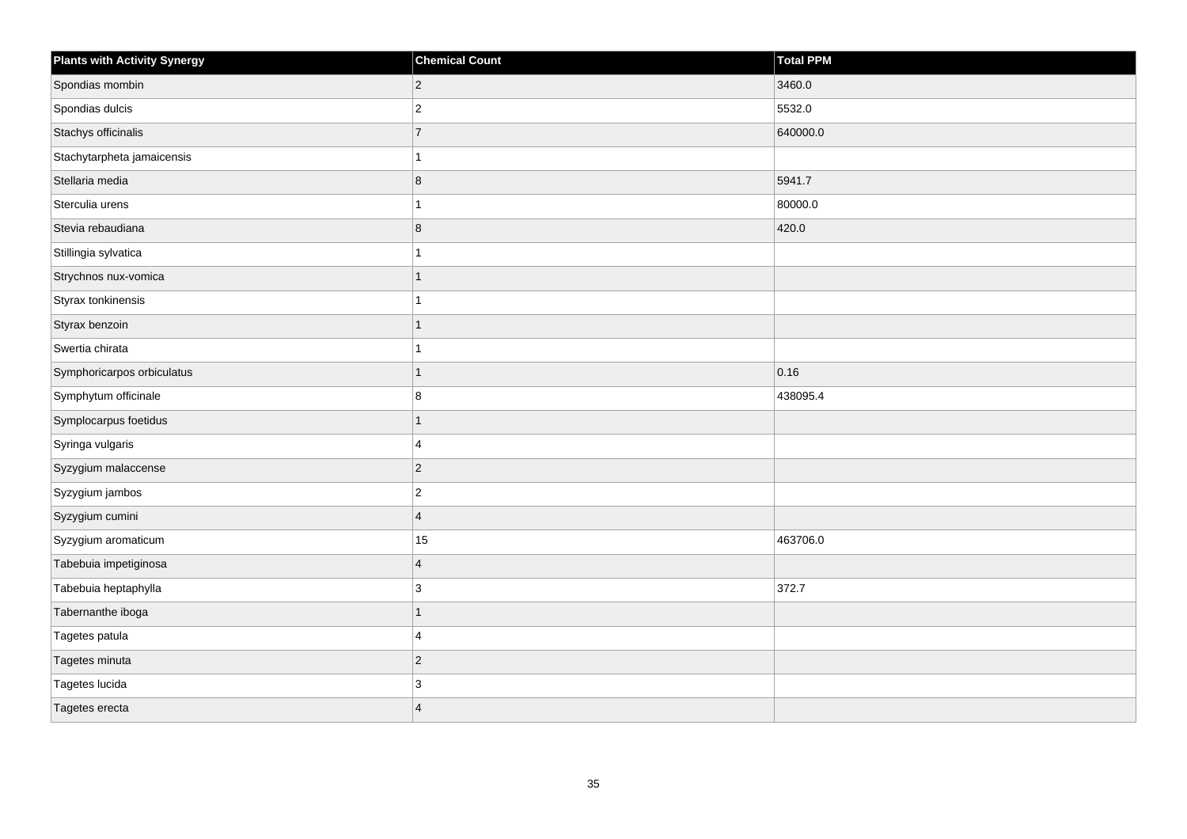| <b>Plants with Activity Synergy</b> | <b>Chemical Count</b>   | Total PPM |
|-------------------------------------|-------------------------|-----------|
| Spondias mombin                     | $\overline{2}$          | 3460.0    |
| Spondias dulcis                     | $\overline{c}$          | 5532.0    |
| Stachys officinalis                 | $\overline{7}$          | 640000.0  |
| Stachytarpheta jamaicensis          |                         |           |
| Stellaria media                     | 8                       | 5941.7    |
| Sterculia urens                     |                         | 80000.0   |
| Stevia rebaudiana                   | 8                       | 420.0     |
| Stillingia sylvatica                |                         |           |
| Strychnos nux-vomica                |                         |           |
| Styrax tonkinensis                  |                         |           |
| Styrax benzoin                      |                         |           |
| Swertia chirata                     |                         |           |
| Symphoricarpos orbiculatus          | 1                       | 0.16      |
| Symphytum officinale                | 8                       | 438095.4  |
| Symplocarpus foetidus               |                         |           |
| Syringa vulgaris                    | 4                       |           |
| Syzygium malaccense                 | $\overline{2}$          |           |
| Syzygium jambos                     | $\overline{c}$          |           |
| Syzygium cumini                     | $\overline{4}$          |           |
| Syzygium aromaticum                 | 15                      | 463706.0  |
| Tabebuia impetiginosa               | $\overline{\mathbf{4}}$ |           |
| Tabebuia heptaphylla                | 3                       | 372.7     |
| Tabernanthe iboga                   |                         |           |
| Tagetes patula                      | 4                       |           |
| Tagetes minuta                      | $\overline{2}$          |           |
| Tagetes lucida                      | 3                       |           |
| Tagetes erecta                      | $\overline{\mathbf{A}}$ |           |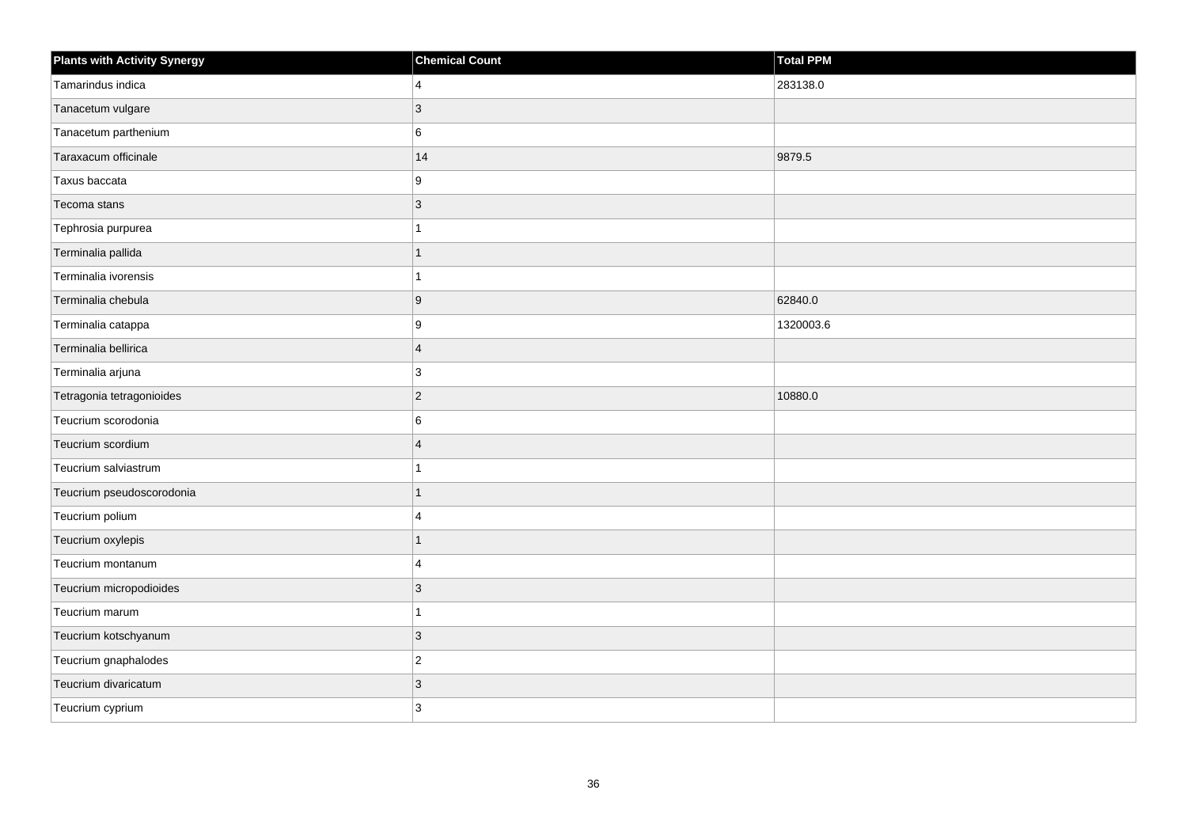| <b>Plants with Activity Synergy</b> | <b>Chemical Count</b> | Total PPM |
|-------------------------------------|-----------------------|-----------|
| Tamarindus indica                   | $\overline{4}$        | 283138.0  |
| Tanacetum vulgare                   | 3                     |           |
| Tanacetum parthenium                | 6                     |           |
| Taraxacum officinale                | 14                    | 9879.5    |
| Taxus baccata                       | 9                     |           |
| Tecoma stans                        | $\mathbf{3}$          |           |
| Tephrosia purpurea                  | 1                     |           |
| Terminalia pallida                  | 1                     |           |
| Terminalia ivorensis                | 1                     |           |
| Terminalia chebula                  | 9                     | 62840.0   |
| Terminalia catappa                  | 9                     | 1320003.6 |
| Terminalia bellirica                | $\overline{4}$        |           |
| Terminalia arjuna                   | 3                     |           |
| Tetragonia tetragonioides           | $\overline{2}$        | 10880.0   |
| Teucrium scorodonia                 | 6                     |           |
| Teucrium scordium                   | $\overline{4}$        |           |
| Teucrium salviastrum                |                       |           |
| Teucrium pseudoscorodonia           | $\overline{1}$        |           |
| Teucrium polium                     | 4                     |           |
| Teucrium oxylepis                   | 1                     |           |
| Teucrium montanum                   | $\Delta$              |           |
| Teucrium micropodioides             | 3                     |           |
| Teucrium marum                      | 1                     |           |
| Teucrium kotschyanum                | 3                     |           |
| Teucrium gnaphalodes                | $\mathbf 2$           |           |
| Teucrium divaricatum                | 3                     |           |
| Teucrium cyprium                    | 3                     |           |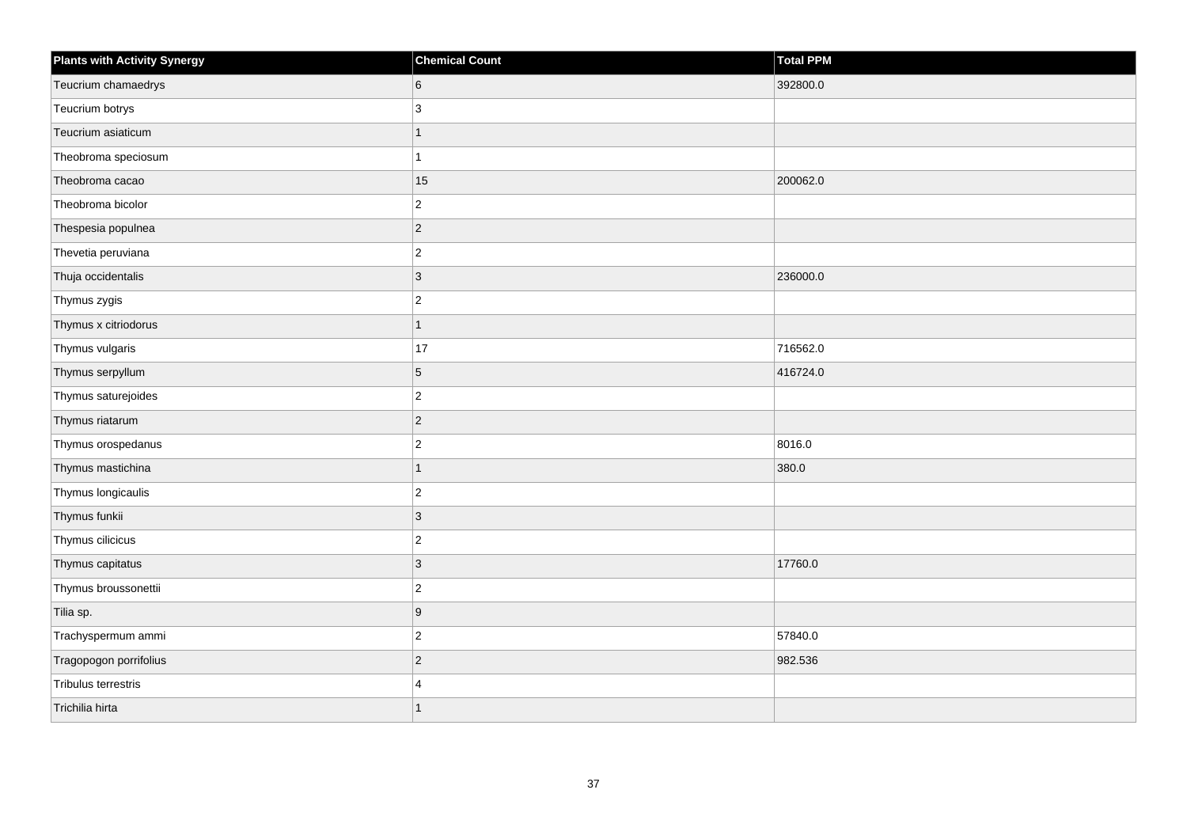| <b>Plants with Activity Synergy</b> | <b>Chemical Count</b> | <b>Total PPM</b> |
|-------------------------------------|-----------------------|------------------|
| Teucrium chamaedrys                 | 6                     | 392800.0         |
| Teucrium botrys                     | 3                     |                  |
| Teucrium asiaticum                  |                       |                  |
| Theobroma speciosum                 |                       |                  |
| Theobroma cacao                     | 15                    | 200062.0         |
| Theobroma bicolor                   | $\overline{c}$        |                  |
| Thespesia populnea                  | $\overline{2}$        |                  |
| Thevetia peruviana                  | $\overline{c}$        |                  |
| Thuja occidentalis                  | $\overline{3}$        | 236000.0         |
| Thymus zygis                        | $\overline{2}$        |                  |
| Thymus x citriodorus                | 1                     |                  |
| Thymus vulgaris                     | 17                    | 716562.0         |
| Thymus serpyllum                    | 5                     | 416724.0         |
| Thymus saturejoides                 | $\overline{2}$        |                  |
| Thymus riatarum                     | $\overline{2}$        |                  |
| Thymus orospedanus                  | $\overline{a}$        | 8016.0           |
| Thymus mastichina                   | 1                     | 380.0            |
| Thymus longicaulis                  | $\overline{2}$        |                  |
| Thymus funkii                       | $\overline{3}$        |                  |
| Thymus cilicicus                    | $\overline{c}$        |                  |
| Thymus capitatus                    | $\overline{3}$        | 17760.0          |
| Thymus broussonettii                | $\overline{c}$        |                  |
| Tilia sp.                           | 9                     |                  |
| Trachyspermum ammi                  | $\overline{2}$        | 57840.0          |
| Tragopogon porrifolius              | $\overline{2}$        | 982.536          |
| Tribulus terrestris                 | $\boldsymbol{\Delta}$ |                  |
| Trichilia hirta                     |                       |                  |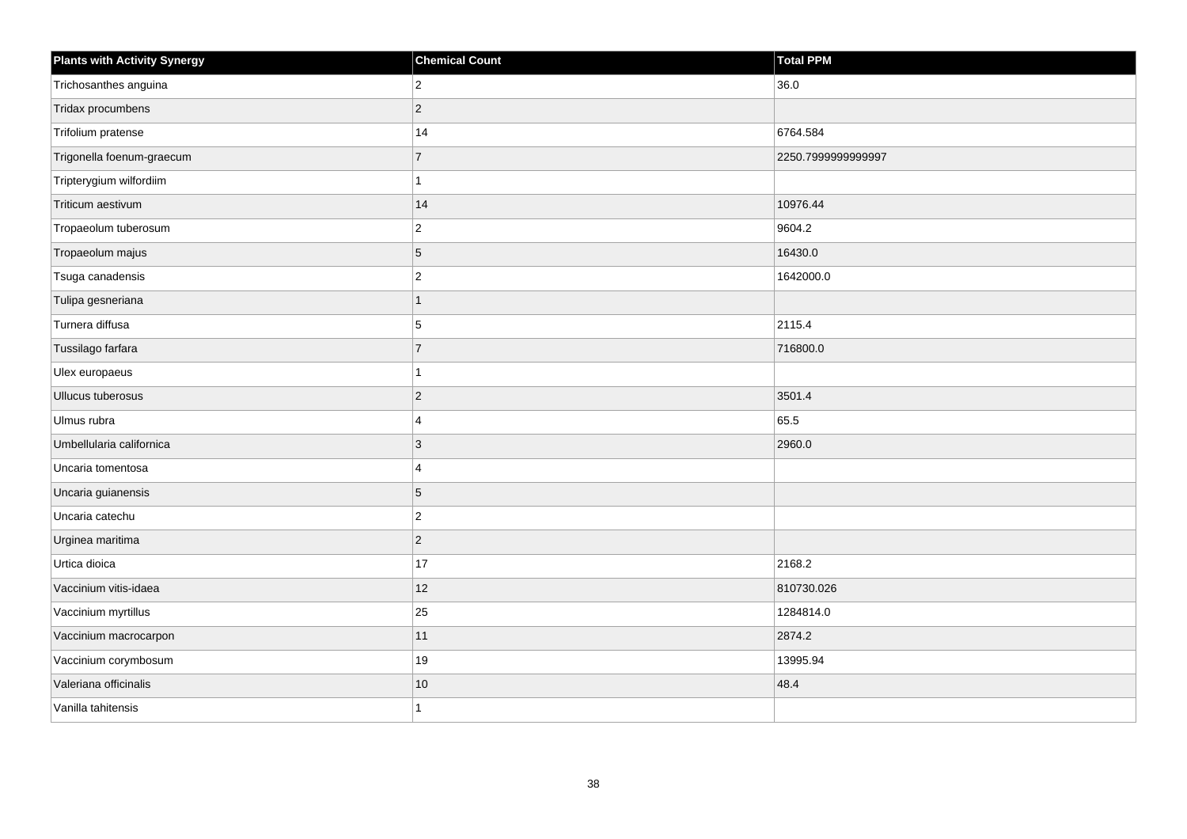| <b>Plants with Activity Synergy</b> | <b>Chemical Count</b> | <b>Total PPM</b>   |
|-------------------------------------|-----------------------|--------------------|
| Trichosanthes anguina               | $\overline{2}$        | 36.0               |
| Tridax procumbens                   | $\overline{2}$        |                    |
| Trifolium pratense                  | 14                    | 6764.584           |
| Trigonella foenum-graecum           | $\overline{7}$        | 2250.7999999999997 |
| Tripterygium wilfordiim             |                       |                    |
| Triticum aestivum                   | 14                    | 10976.44           |
| Tropaeolum tuberosum                | $\overline{2}$        | 9604.2             |
| Tropaeolum majus                    | 5                     | 16430.0            |
| Tsuga canadensis                    | $\overline{c}$        | 1642000.0          |
| Tulipa gesneriana                   | $\mathbf{1}$          |                    |
| Turnera diffusa                     | 5                     | 2115.4             |
| Tussilago farfara                   | $\overline{7}$        | 716800.0           |
| Ulex europaeus                      | 1                     |                    |
| Ullucus tuberosus                   | $\overline{2}$        | 3501.4             |
| Ulmus rubra                         | 4                     | 65.5               |
| Umbellularia californica            | 3                     | 2960.0             |
| Uncaria tomentosa                   | 4                     |                    |
| Uncaria guianensis                  | 5                     |                    |
| Uncaria catechu                     | $\overline{2}$        |                    |
| Urginea maritima                    | $\overline{c}$        |                    |
| Urtica dioica                       | 17                    | 2168.2             |
| Vaccinium vitis-idaea               | 12                    | 810730.026         |
| Vaccinium myrtillus                 | 25                    | 1284814.0          |
| Vaccinium macrocarpon               | 11                    | 2874.2             |
| Vaccinium corymbosum                | 19                    | 13995.94           |
| Valeriana officinalis               | $10$                  | 48.4               |
| Vanilla tahitensis                  | 1                     |                    |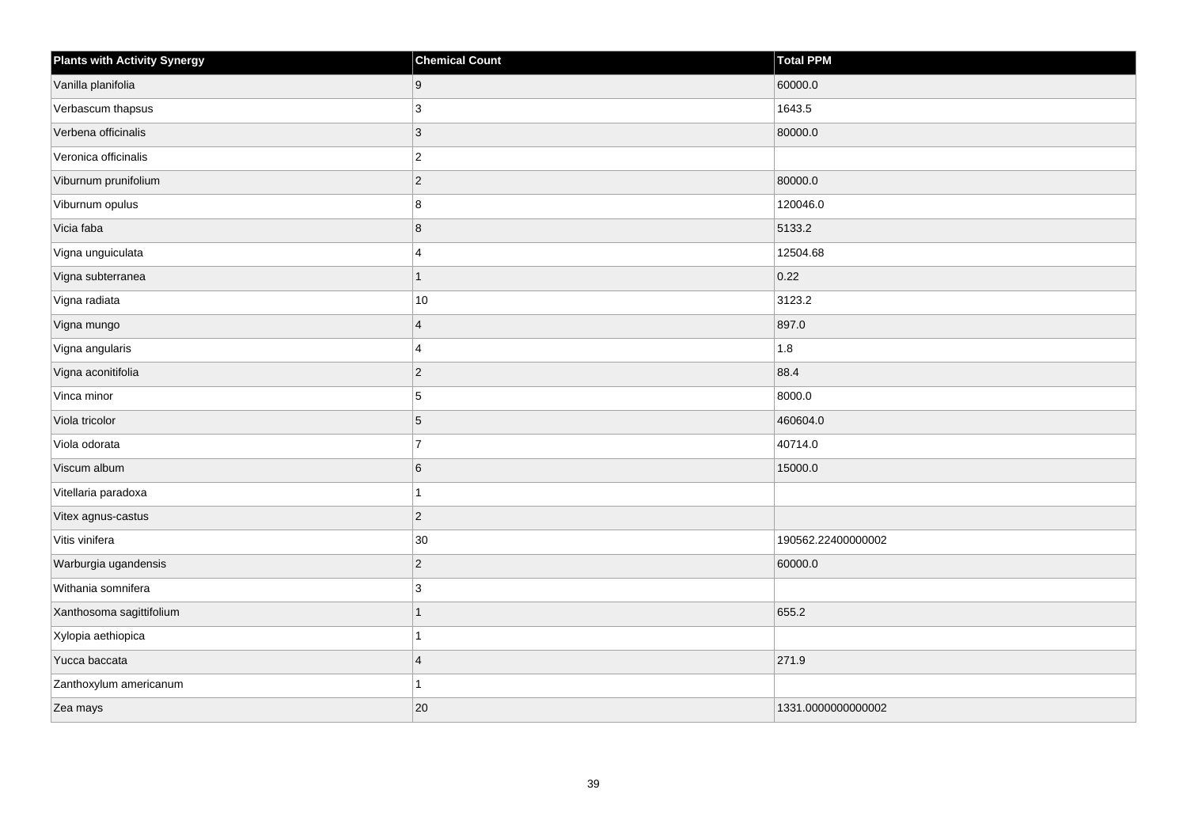| <b>Plants with Activity Synergy</b> | <b>Chemical Count</b> | <b>Total PPM</b>   |
|-------------------------------------|-----------------------|--------------------|
| Vanilla planifolia                  | 9                     | 60000.0            |
| Verbascum thapsus                   | 3                     | 1643.5             |
| Verbena officinalis                 | $\overline{3}$        | 80000.0            |
| Veronica officinalis                | $\overline{2}$        |                    |
| Viburnum prunifolium                | $\overline{2}$        | 80000.0            |
| Viburnum opulus                     | 8                     | 120046.0           |
| Vicia faba                          | 8                     | 5133.2             |
| Vigna unguiculata                   | $\boldsymbol{\Delta}$ | 12504.68           |
| Vigna subterranea                   | 1                     | 0.22               |
| Vigna radiata                       | 10                    | 3123.2             |
| Vigna mungo                         | $\boldsymbol{\Delta}$ | 897.0              |
| Vigna angularis                     | 4                     | 1.8                |
| Vigna aconitifolia                  | $\overline{2}$        | 88.4               |
| Vinca minor                         | 5                     | 8000.0             |
| Viola tricolor                      | 5                     | 460604.0           |
| Viola odorata                       | $\overline{7}$        | 40714.0            |
| Viscum album                        | 6                     | 15000.0            |
| Vitellaria paradoxa                 |                       |                    |
| Vitex agnus-castus                  | $\overline{2}$        |                    |
| Vitis vinifera                      | $30\,$                | 190562.22400000002 |
| Warburgia ugandensis                | $\overline{c}$        | 60000.0            |
| Withania somnifera                  | 3                     |                    |
| Xanthosoma sagittifolium            |                       | 655.2              |
| Xylopia aethiopica                  |                       |                    |
| Yucca baccata                       | $\overline{4}$        | 271.9              |
| Zanthoxylum americanum              |                       |                    |
| Zea mays                            | 20                    | 1331.0000000000002 |